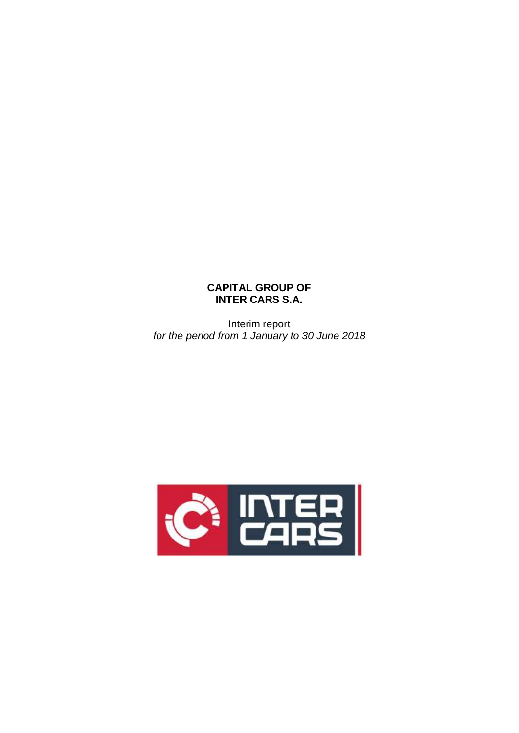# **CAPITAL GROUP OF INTER CARS S.A.**

Interim report *for the period from 1 January to 30 June 2018*

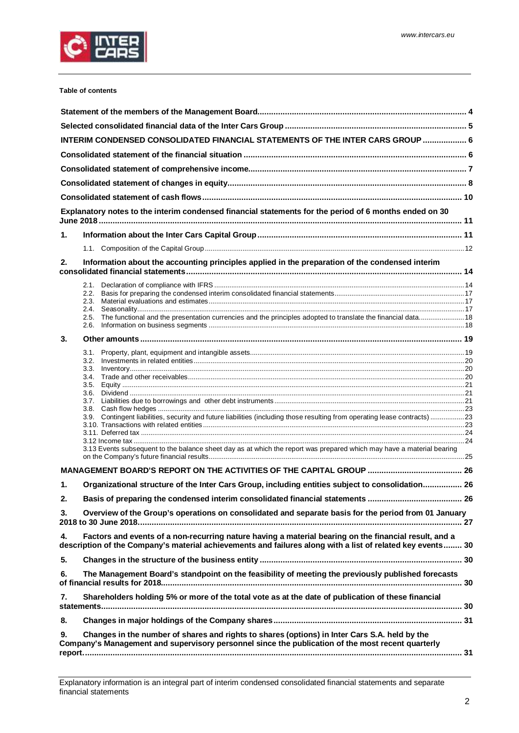

#### **Table of contents**

|    |              | INTERIM CONDENSED CONSOLIDATED FINANCIAL STATEMENTS OF THE INTER CARS GROUP  6                                                                                                                                      |  |
|----|--------------|---------------------------------------------------------------------------------------------------------------------------------------------------------------------------------------------------------------------|--|
|    |              |                                                                                                                                                                                                                     |  |
|    |              |                                                                                                                                                                                                                     |  |
|    |              |                                                                                                                                                                                                                     |  |
|    |              |                                                                                                                                                                                                                     |  |
|    |              | Explanatory notes to the interim condensed financial statements for the period of 6 months ended on 30                                                                                                              |  |
| 1. |              |                                                                                                                                                                                                                     |  |
|    |              |                                                                                                                                                                                                                     |  |
| 2. |              | Information about the accounting principles applied in the preparation of the condensed interim                                                                                                                     |  |
|    |              |                                                                                                                                                                                                                     |  |
|    | 2.2.         |                                                                                                                                                                                                                     |  |
|    | 2.3.<br>2.4. |                                                                                                                                                                                                                     |  |
|    | 2.5.         | The functional and the presentation currencies and the principles adopted to translate the financial data 18                                                                                                        |  |
|    | 2.6.         |                                                                                                                                                                                                                     |  |
| 3. |              |                                                                                                                                                                                                                     |  |
|    |              |                                                                                                                                                                                                                     |  |
|    |              |                                                                                                                                                                                                                     |  |
|    | 3.4.         |                                                                                                                                                                                                                     |  |
|    |              |                                                                                                                                                                                                                     |  |
|    |              |                                                                                                                                                                                                                     |  |
|    | 3.8.         |                                                                                                                                                                                                                     |  |
|    |              | 3.9. Contingent liabilities, security and future liabilities (including those resulting from operating lease contracts) 23                                                                                          |  |
|    |              |                                                                                                                                                                                                                     |  |
|    |              |                                                                                                                                                                                                                     |  |
|    |              | 3.13 Events subsequent to the balance sheet day as at which the report was prepared which may have a material bearing                                                                                               |  |
|    |              |                                                                                                                                                                                                                     |  |
|    |              |                                                                                                                                                                                                                     |  |
| 1. |              | Organizational structure of the Inter Cars Group, including entities subject to consolidation 26                                                                                                                    |  |
| 2. |              |                                                                                                                                                                                                                     |  |
| 3. |              | Overview of the Group's operations on consolidated and separate basis for the period from 01 January                                                                                                                |  |
| 4. |              | Factors and events of a non-recurring nature having a material bearing on the financial result, and a<br>description of the Company's material achievements and failures along with a list of related key events 30 |  |
| 5. |              |                                                                                                                                                                                                                     |  |
| 6. |              | The Management Board's standpoint on the feasibility of meeting the previously published forecasts                                                                                                                  |  |
| 7. |              | Shareholders holding 5% or more of the total vote as at the date of publication of these financial                                                                                                                  |  |
| 8. |              |                                                                                                                                                                                                                     |  |
| 9. |              | Changes in the number of shares and rights to shares (options) in Inter Cars S.A. held by the<br>Company's Management and supervisory personnel since the publication of the most recent quarterly                  |  |
|    |              |                                                                                                                                                                                                                     |  |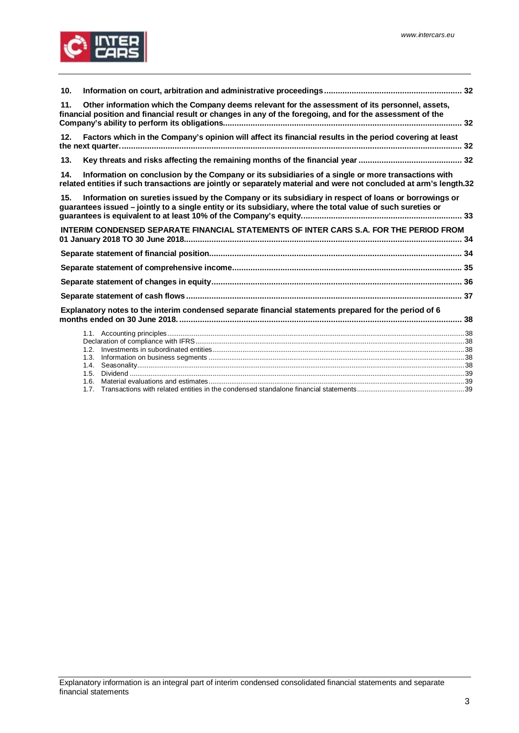

| 10. |                                                                                                                                                                                                                          |  |
|-----|--------------------------------------------------------------------------------------------------------------------------------------------------------------------------------------------------------------------------|--|
| 11. | Other information which the Company deems relevant for the assessment of its personnel, assets,<br>financial position and financial result or changes in any of the foregoing, and for the assessment of the             |  |
| 12. | Factors which in the Company's opinion will affect its financial results in the period covering at least                                                                                                                 |  |
| 13. |                                                                                                                                                                                                                          |  |
| 14. | Information on conclusion by the Company or its subsidiaries of a single or more transactions with<br>related entities if such transactions are jointly or separately material and were not concluded at arm's length.32 |  |
| 15. | Information on sureties issued by the Company or its subsidiary in respect of loans or borrowings or<br>guarantees issued - jointly to a single entity or its subsidiary, where the total value of such sureties or      |  |
|     | INTERIM CONDENSED SEPARATE FINANCIAL STATEMENTS OF INTER CARS S.A. FOR THE PERIOD FROM                                                                                                                                   |  |
|     |                                                                                                                                                                                                                          |  |
|     |                                                                                                                                                                                                                          |  |
|     |                                                                                                                                                                                                                          |  |
|     |                                                                                                                                                                                                                          |  |
|     | Explanatory notes to the interim condensed separate financial statements prepared for the period of 6                                                                                                                    |  |
|     |                                                                                                                                                                                                                          |  |
|     |                                                                                                                                                                                                                          |  |
|     |                                                                                                                                                                                                                          |  |
|     |                                                                                                                                                                                                                          |  |
|     | 1.5.                                                                                                                                                                                                                     |  |
|     | 1.6.                                                                                                                                                                                                                     |  |
|     |                                                                                                                                                                                                                          |  |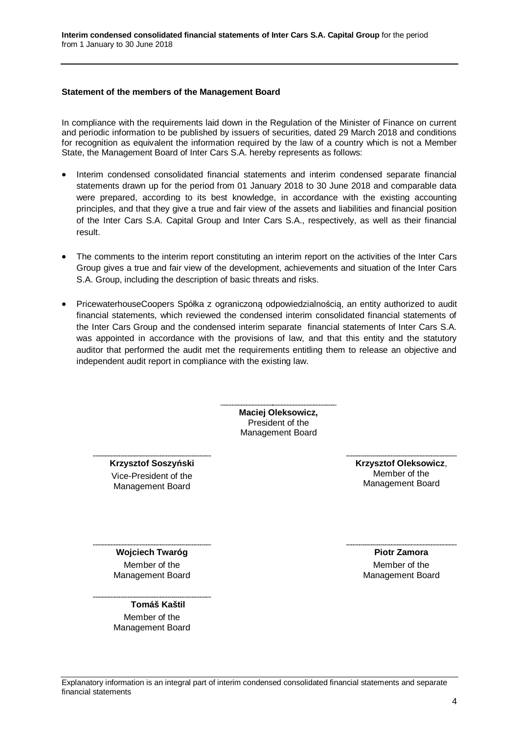#### <span id="page-3-1"></span><span id="page-3-0"></span>**Statement of the members of the Management Board**

In compliance with the requirements laid down in the Regulation of the Minister of Finance on current and periodic information to be published by issuers of securities, dated 29 March 2018 and conditions for recognition as equivalent the information required by the law of a country which is not a Member State, the Management Board of Inter Cars S.A. hereby represents as follows:

- · Interim condensed consolidated financial statements and interim condensed separate financial statements drawn up for the period from 01 January 2018 to 30 June 2018 and comparable data were prepared, according to its best knowledge, in accordance with the existing accounting principles, and that they give a true and fair view of the assets and liabilities and financial position of the Inter Cars S.A. Capital Group and Inter Cars S.A., respectively, as well as their financial result.
- · The comments to the interim report constituting an interim report on the activities of the Inter Cars Group gives a true and fair view of the development, achievements and situation of the Inter Cars S.A. Group, including the description of basic threats and risks.
- · PricewaterhouseCoopers Spółka z ograniczoną odpowiedzialnością, an entity authorized to audit financial statements, which reviewed the condensed interim consolidated financial statements of the Inter Cars Group and the condensed interim separate financial statements of Inter Cars S.A. was appointed in accordance with the provisions of law, and that this entity and the statutory auditor that performed the audit met the requirements entitling them to release an objective and independent audit report in compliance with the existing law.

**Maciej Oleksowicz,** President of the Management Board

**Krzysztof Soszyński** Vice-President of the Management Board

**Krzysztof Oleksowicz**, Member of the Management Board

**Wojciech Twaróg** Member of the Management Board

# **Tomáš Kaštil**

Member of the Management Board

**Piotr Zamora** Member of the Management Board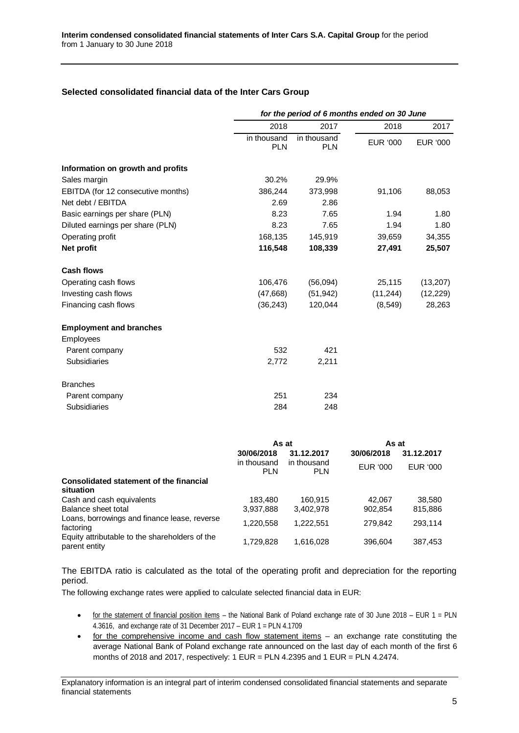## <span id="page-4-0"></span>**Selected consolidated financial data of the Inter Cars Group**

|                                                | for the period of 6 months ended on 30 June |                           |                 |                 |  |
|------------------------------------------------|---------------------------------------------|---------------------------|-----------------|-----------------|--|
|                                                | 2018                                        | 2017                      | 2018            | 2017            |  |
|                                                | in thousand<br><b>PLN</b>                   | in thousand<br><b>PLN</b> | <b>EUR '000</b> | <b>EUR '000</b> |  |
| Information on growth and profits              |                                             |                           |                 |                 |  |
| Sales margin                                   | 30.2%                                       | 29.9%                     |                 |                 |  |
| EBITDA (for 12 consecutive months)             | 386,244                                     | 373,998                   | 91,106          | 88,053          |  |
| Net debt / EBITDA                              | 2.69                                        | 2.86                      |                 |                 |  |
| Basic earnings per share (PLN)                 | 8.23                                        | 7.65                      | 1.94            | 1.80            |  |
| Diluted earnings per share (PLN)               | 8.23                                        | 7.65                      | 1.94            | 1.80            |  |
| Operating profit                               | 168,135                                     | 145,919                   | 39,659          | 34,355          |  |
| Net profit                                     | 116,548                                     | 108,339                   | 27,491          | 25,507          |  |
| <b>Cash flows</b>                              |                                             |                           |                 |                 |  |
| Operating cash flows                           | 106,476                                     | (56,094)                  | 25,115          | (13, 207)       |  |
| Investing cash flows                           | (47,668)                                    | (51, 942)                 | (11, 244)       | (12, 229)       |  |
| Financing cash flows                           | (36, 243)                                   | 120,044                   | (8, 549)        | 28,263          |  |
| <b>Employment and branches</b>                 |                                             |                           |                 |                 |  |
| Employees                                      |                                             |                           |                 |                 |  |
| Parent company                                 | 532                                         | 421                       |                 |                 |  |
| Subsidiaries                                   | 2,772                                       | 2,211                     |                 |                 |  |
| <b>Branches</b>                                |                                             |                           |                 |                 |  |
| Parent company                                 | 251                                         | 234                       |                 |                 |  |
| <b>Subsidiaries</b>                            | 284                                         | 248                       |                 |                 |  |
|                                                |                                             |                           |                 |                 |  |
|                                                | As at<br>30/06/2018                         |                           | As at           | 31.12.2017      |  |
|                                                | in thousand                                 | 31.12.2017<br>in thousand | 30/06/2018      |                 |  |
|                                                | <b>PLN</b>                                  | <b>PLN</b>                | EUR '000        | EUR '000        |  |
| <b>Consolidated statement of the financial</b> |                                             |                           |                 |                 |  |

| Consolidated statement of the imancial<br>situation             |           |           |         |         |
|-----------------------------------------------------------------|-----------|-----------|---------|---------|
| Cash and cash equivalents                                       | 183.480   | 160.915   | 42.067  | 38.580  |
| Balance sheet total                                             | 3,937,888 | 3.402.978 | 902.854 | 815.886 |
| Loans, borrowings and finance lease, reverse<br>factoring       | 1.220.558 | 1.222.551 | 279.842 | 293.114 |
| Equity attributable to the shareholders of the<br>parent entity | 1.729.828 | 1.616.028 | 396.604 | 387.453 |

The EBITDA ratio is calculated as the total of the operating profit and depreciation for the reporting period.

The following exchange rates were applied to calculate selected financial data in EUR:

- · for the statement of financial position items the National Bank of Poland exchange rate of 30 June 2018 EUR 1 = PLN 4.3616, and exchange rate of 31 December 2017 – EUR 1 = PLN 4.1709
- · for the comprehensive income and cash flow statement items an exchange rate constituting the average National Bank of Poland exchange rate announced on the last day of each month of the first 6 months of 2018 and 2017, respectively:  $1$  EUR = PLN 4.2395 and  $1$  EUR = PLN 4.2474.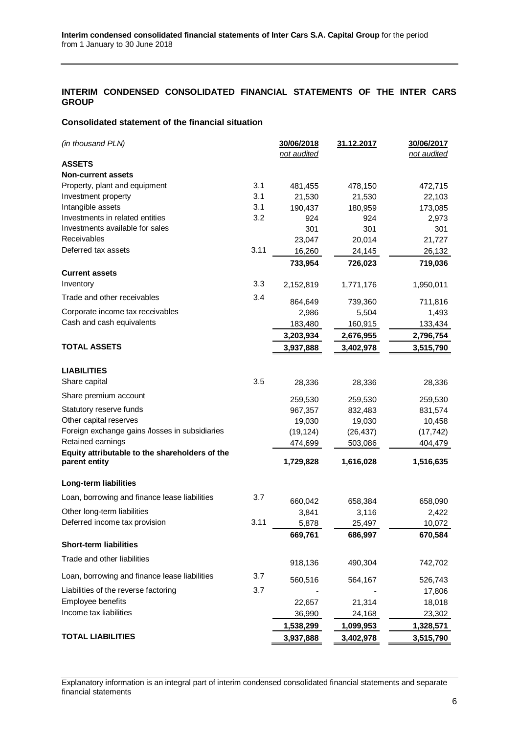## <span id="page-5-0"></span>**INTERIM CONDENSED CONSOLIDATED FINANCIAL STATEMENTS OF THE INTER CARS GROUP**

### <span id="page-5-1"></span>**Consolidated statement of the financial situation**

| (in thousand PLN)                                                  |      | 30/06/2018       | 31.12.2017        | 30/06/2017        |
|--------------------------------------------------------------------|------|------------------|-------------------|-------------------|
|                                                                    |      | not audited      |                   | not audited       |
| <b>ASSETS</b>                                                      |      |                  |                   |                   |
| <b>Non-current assets</b>                                          |      |                  |                   |                   |
| Property, plant and equipment                                      | 3.1  | 481,455          | 478,150           | 472,715           |
| Investment property                                                | 3.1  | 21,530           | 21,530            | 22,103            |
| Intangible assets                                                  | 3.1  | 190,437          | 180,959           | 173,085           |
| Investments in related entities<br>Investments available for sales | 3.2  | 924              | 924               | 2,973             |
| Receivables                                                        |      | 301              | 301               | 301               |
| Deferred tax assets                                                | 3.11 | 23,047           | 20,014            | 21,727            |
|                                                                    |      | 16,260           | 24,145<br>726,023 | 26,132<br>719,036 |
| <b>Current assets</b>                                              |      | 733,954          |                   |                   |
| Inventory                                                          | 3.3  | 2,152,819        | 1,771,176         | 1,950,011         |
| Trade and other receivables                                        | 3.4  |                  |                   |                   |
| Corporate income tax receivables                                   |      | 864,649<br>2,986 | 739,360<br>5,504  | 711,816<br>1,493  |
| Cash and cash equivalents                                          |      | 183,480          | 160,915           | 133,434           |
|                                                                    |      | 3,203,934        | 2,676,955         | 2,796,754         |
| <b>TOTAL ASSETS</b>                                                |      | 3,937,888        | 3,402,978         | 3,515,790         |
|                                                                    |      |                  |                   |                   |
| <b>LIABILITIES</b>                                                 |      |                  |                   |                   |
| Share capital                                                      | 3.5  | 28,336           | 28,336            | 28,336            |
| Share premium account                                              |      | 259,530          | 259,530           | 259,530           |
| Statutory reserve funds                                            |      | 967,357          | 832,483           | 831,574           |
| Other capital reserves                                             |      | 19,030           | 19,030            | 10,458            |
| Foreign exchange gains /losses in subsidiaries                     |      | (19, 124)        | (26, 437)         | (17, 742)         |
| Retained earnings                                                  |      | 474,699          | 503,086           | 404,479           |
| Equity attributable to the shareholders of the                     |      |                  |                   |                   |
| parent entity                                                      |      | 1,729,828        | 1,616,028         | 1,516,635         |
| Long-term liabilities                                              |      |                  |                   |                   |
| Loan, borrowing and finance lease liabilities                      | 3.7  |                  |                   |                   |
| Other long-term liabilities                                        |      | 660,042<br>3,841 | 658,384<br>3,116  | 658,090<br>2,422  |
| Deferred income tax provision                                      | 3.11 | 5,878            | 25,497            | 10,072            |
|                                                                    |      | 669,761          | 686,997           | 670,584           |
| <b>Short-term liabilities</b>                                      |      |                  |                   |                   |
| Trade and other liabilities                                        |      |                  |                   |                   |
|                                                                    |      | 918,136          | 490,304           | 742,702           |
| Loan, borrowing and finance lease liabilities                      | 3.7  | 560,516          | 564,167           | 526,743           |
| Liabilities of the reverse factoring                               | 3.7  |                  |                   | 17,806            |
| Employee benefits                                                  |      | 22,657           | 21,314            | 18,018            |
| Income tax liabilities                                             |      | 36,990           | 24,168            | 23,302            |
|                                                                    |      | 1,538,299        | 1,099,953         | 1,328,571         |
| <b>TOTAL LIABILITIES</b>                                           |      | 3,937,888        | 3,402,978         | 3,515,790         |

Explanatory information is an integral part of interim condensed consolidated financial statements and separate financial statements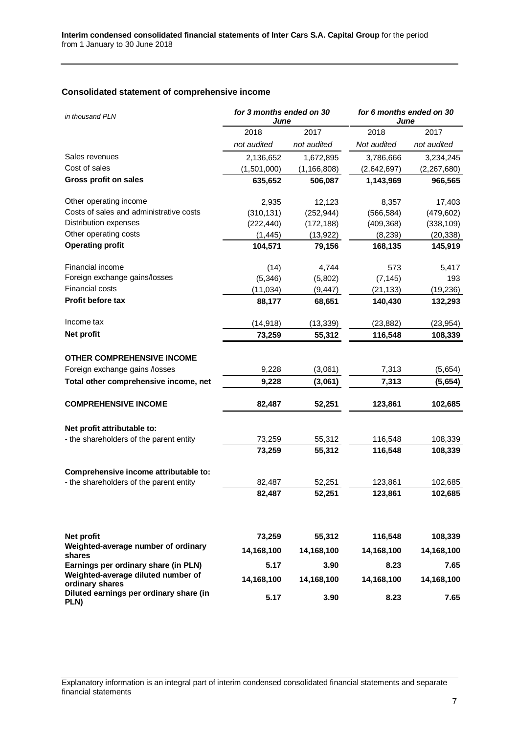# <span id="page-6-0"></span>**Consolidated statement of comprehensive income**

| in thousand PLN                                                            | for 3 months ended on 30<br>June |               | for 6 months ended on 30<br>June |               |  |
|----------------------------------------------------------------------------|----------------------------------|---------------|----------------------------------|---------------|--|
|                                                                            | 2018                             | 2017          | 2018                             | 2017          |  |
|                                                                            | not audited                      | not audited   | Not audited                      | not audited   |  |
| Sales revenues                                                             | 2,136,652                        | 1,672,895     | 3,786,666                        | 3,234,245     |  |
| Cost of sales                                                              | (1,501,000)                      | (1, 166, 808) | (2,642,697)                      | (2, 267, 680) |  |
| Gross profit on sales                                                      | 635,652                          | 506,087       | 1,143,969                        | 966,565       |  |
| Other operating income                                                     | 2,935                            | 12,123        | 8,357                            | 17,403        |  |
| Costs of sales and administrative costs                                    | (310, 131)                       | (252, 944)    | (566, 584)                       | (479, 602)    |  |
| Distribution expenses                                                      | (222, 440)                       | (172, 188)    | (409, 368)                       | (338, 109)    |  |
| Other operating costs                                                      | (1, 445)                         | (13, 922)     | (8, 239)                         | (20, 338)     |  |
| <b>Operating profit</b>                                                    | 104,571                          | 79,156        | 168,135                          | 145,919       |  |
| Financial income                                                           | (14)                             | 4,744         | 573                              | 5,417         |  |
| Foreign exchange gains/losses                                              | (5, 346)                         | (5,802)       | (7, 145)                         | 193           |  |
| <b>Financial costs</b>                                                     | (11, 034)                        | (9, 447)      | (21, 133)                        | (19, 236)     |  |
| Profit before tax                                                          | 88,177                           | 68,651        | 140,430                          | 132,293       |  |
| Income tax                                                                 | (14, 918)                        | (13, 339)     | (23, 882)                        | (23, 954)     |  |
| Net profit                                                                 | 73,259                           | 55,312        | 116,548                          | 108,339       |  |
| <b>OTHER COMPREHENSIVE INCOME</b>                                          |                                  |               |                                  |               |  |
| Foreign exchange gains /losses                                             | 9,228                            | (3,061)       | 7,313                            | (5,654)       |  |
| Total other comprehensive income, net                                      | 9,228                            | (3,061)       | 7,313                            | (5,654)       |  |
| <b>COMPREHENSIVE INCOME</b>                                                | 82,487                           | 52,251        | 123,861                          | 102,685       |  |
| Net profit attributable to:                                                |                                  |               |                                  |               |  |
| - the shareholders of the parent entity                                    | 73,259                           | 55,312        | 116,548                          | 108,339       |  |
|                                                                            | 73,259                           | 55,312        | 116,548                          | 108,339       |  |
| Comprehensive income attributable to:                                      |                                  |               |                                  |               |  |
| - the shareholders of the parent entity                                    | 82,487                           | 52,251        | 123,861                          | 102,685       |  |
|                                                                            | 82,487                           | 52,251        | 123,861                          | 102,685       |  |
|                                                                            |                                  |               |                                  |               |  |
| Net profit                                                                 | 73,259                           | 55,312        | 116,548                          | 108,339       |  |
| Weighted-average number of ordinary<br>shares                              | 14,168,100                       | 14,168,100    | 14,168,100                       | 14,168,100    |  |
| Earnings per ordinary share (in PLN)<br>Weighted-average diluted number of | 5.17                             | 3.90          | 8.23                             | 7.65          |  |
| ordinary shares                                                            | 14,168,100                       | 14,168,100    | 14,168,100                       | 14,168,100    |  |
| Diluted earnings per ordinary share (in<br>PLN)                            | 5.17                             | 3.90          | 8.23                             | 7.65          |  |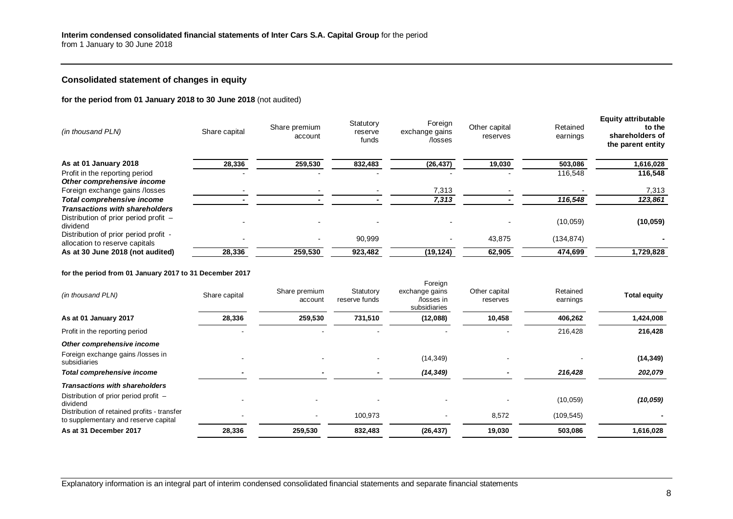## <span id="page-7-0"></span>**Consolidated statement of changes in equity**

**for the period from 01 January 2018 to 30 June 2018** (not audited)

| (in thousand PLN)                                                                          | Share capital | Share premium<br>account | Statutory<br>reserve<br>funds | Foreign<br>exchange gains<br>/losses | Other capital<br>reserves | Retained<br>earnings | <b>Equity attributable</b><br>to the<br>shareholders of<br>the parent entity |
|--------------------------------------------------------------------------------------------|---------------|--------------------------|-------------------------------|--------------------------------------|---------------------------|----------------------|------------------------------------------------------------------------------|
| As at 01 January 2018                                                                      | 28,336        | 259,530                  | 832,483                       | (26, 437)                            | 19,030                    | 503,086              | 1,616,028                                                                    |
| Profit in the reporting period<br>Other comprehensive income                               |               |                          |                               |                                      |                           | 116,548              | 116,548                                                                      |
| Foreign exchange gains /losses                                                             |               |                          |                               | 7,313                                |                           |                      | 7,313                                                                        |
| <b>Total comprehensive income</b>                                                          |               |                          |                               | 7,313                                |                           | 116,548              | 123,861                                                                      |
| <b>Transactions with shareholders</b><br>Distribution of prior period profit -<br>dividend |               |                          |                               |                                      |                           | (10,059)             | (10, 059)                                                                    |
| Distribution of prior period profit -<br>allocation to reserve capitals                    |               |                          | 90,999                        |                                      | 43,875                    | (134, 874)           |                                                                              |
| As at 30 June 2018 (not audited)                                                           | 28,336        | 259,530                  | 923,482                       | (19, 124)                            | 62,905                    | 474,699              | 1,729,828                                                                    |

### **for the period from 01 January 2017 to 31 December 2017**

| (in thousand PLN)                                                                   | Share capital | Share premium<br>account | Statutory<br>reserve funds | Foreign<br>exchange gains<br>/losses in<br>subsidiaries | Other capital<br>reserves | Retained<br>earnings | <b>Total equity</b> |
|-------------------------------------------------------------------------------------|---------------|--------------------------|----------------------------|---------------------------------------------------------|---------------------------|----------------------|---------------------|
| As at 01 January 2017                                                               | 28,336        | 259,530                  | 731,510                    | (12,088)                                                | 10,458                    | 406,262              | 1,424,008           |
| Profit in the reporting period                                                      |               |                          |                            |                                                         |                           | 216,428              | 216,428             |
| Other comprehensive income                                                          |               |                          |                            |                                                         |                           |                      |                     |
| Foreign exchange gains /losses in<br>subsidiaries                                   |               |                          |                            | (14, 349)                                               |                           |                      | (14, 349)           |
| <b>Total comprehensive income</b>                                                   | $\,$          | $\overline{\phantom{0}}$ |                            | (14, 349)                                               |                           | 216,428              | 202,079             |
| <b>Transactions with shareholders</b>                                               |               |                          |                            |                                                         |                           |                      |                     |
| Distribution of prior period profit -<br>dividend                                   |               |                          |                            |                                                         |                           | (10, 059)            | (10, 059)           |
| Distribution of retained profits - transfer<br>to supplementary and reserve capital |               | $\overline{\phantom{a}}$ | 100,973                    | $\blacksquare$                                          | 8,572                     | (109, 545)           |                     |
| As at 31 December 2017                                                              | 28,336        | 259,530                  | 832,483                    | (26, 437)                                               | 19,030                    | 503,086              | 1,616,028           |

Explanatory information is an integral part of interim condensed consolidated financial statements and separate financial statements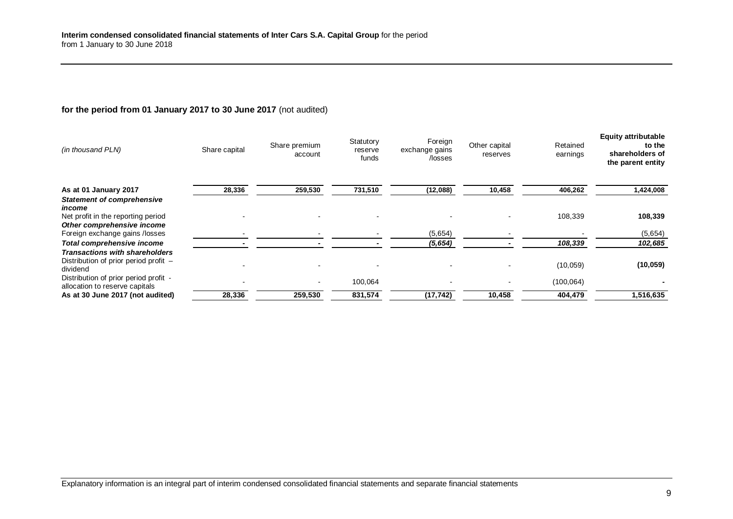## **for the period from 01 January 2017 to 30 June 2017** (not audited)

| (in thousand PLN)                                                       | Share capital | Share premium<br>account | Statutory<br>reserve<br>funds | Foreign<br>exchange gains<br>/losses | Other capital<br>reserves | Retained<br>earnings | <b>Equity attributable</b><br>to the<br>shareholders of<br>the parent entity |
|-------------------------------------------------------------------------|---------------|--------------------------|-------------------------------|--------------------------------------|---------------------------|----------------------|------------------------------------------------------------------------------|
| As at 01 January 2017                                                   | 28,336        | 259,530                  | 731,510                       | (12,088)                             | 10,458                    | 406,262              | 1,424,008                                                                    |
| <b>Statement of comprehensive</b>                                       |               |                          |                               |                                      |                           |                      |                                                                              |
| income<br>Net profit in the reporting period                            |               |                          |                               |                                      |                           | 108,339              | 108,339                                                                      |
| Other comprehensive income                                              |               |                          |                               |                                      |                           |                      |                                                                              |
| Foreign exchange gains /losses                                          |               |                          |                               | (5,654)                              |                           |                      | (5,654)                                                                      |
| <b>Total comprehensive income</b>                                       |               |                          |                               | (5,654)                              |                           | 108,339              | 102,685                                                                      |
| <b>Transactions with shareholders</b>                                   |               |                          |                               |                                      |                           |                      |                                                                              |
| Distribution of prior period profit -<br>dividend                       |               |                          |                               |                                      |                           | (10,059)             | (10, 059)                                                                    |
| Distribution of prior period profit -<br>allocation to reserve capitals |               |                          | 100,064                       |                                      |                           | (100, 064)           |                                                                              |
| As at 30 June 2017 (not audited)                                        | 28,336        | 259,530                  | 831,574                       | (17, 742)                            | 10,458                    | 404,479              | 1,516,635                                                                    |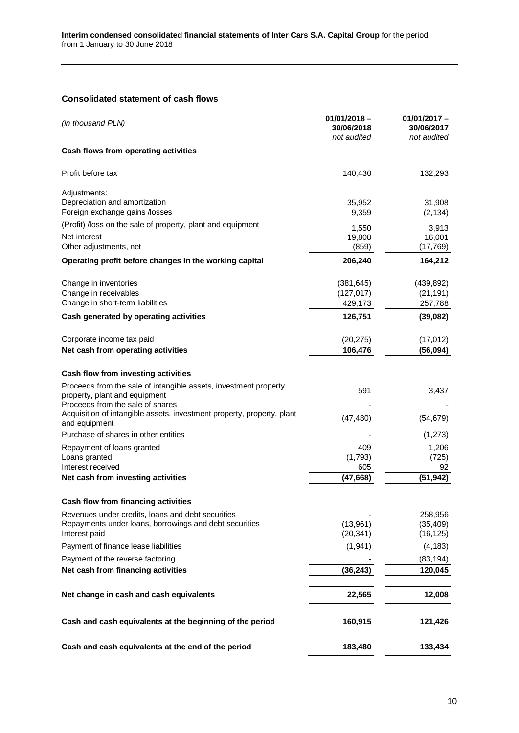## <span id="page-9-0"></span>**Consolidated statement of cash flows**

| (in thousand PLN)                                                                                                           | $01/01/2018 -$<br>30/06/2018<br>not audited | $01/01/2017 -$<br>30/06/2017<br>not audited |
|-----------------------------------------------------------------------------------------------------------------------------|---------------------------------------------|---------------------------------------------|
| Cash flows from operating activities                                                                                        |                                             |                                             |
| Profit before tax                                                                                                           | 140,430                                     | 132,293                                     |
| Adjustments:                                                                                                                |                                             |                                             |
| Depreciation and amortization<br>Foreign exchange gains /losses                                                             | 35,952<br>9,359                             | 31,908<br>(2, 134)                          |
| (Profit) /loss on the sale of property, plant and equipment                                                                 | 1,550                                       | 3,913                                       |
| Net interest<br>Other adjustments, net                                                                                      | 19,808<br>(859)                             | 16,001<br>(17, 769)                         |
| Operating profit before changes in the working capital                                                                      | 206,240                                     | 164,212                                     |
| Change in inventories                                                                                                       | (381, 645)                                  | (439, 892)                                  |
| Change in receivables<br>Change in short-term liabilities                                                                   | (127, 017)<br>429,173                       | (21, 191)<br>257,788                        |
| Cash generated by operating activities                                                                                      | 126,751                                     | (39,082)                                    |
| Corporate income tax paid                                                                                                   | (20, 275)                                   | (17, 012)                                   |
| Net cash from operating activities                                                                                          | 106,476                                     | (56, 094)                                   |
| Cash flow from investing activities                                                                                         |                                             |                                             |
| Proceeds from the sale of intangible assets, investment property,<br>property, plant and equipment                          | 591                                         | 3,437                                       |
| Proceeds from the sale of shares<br>Acquisition of intangible assets, investment property, property, plant<br>and equipment | (47, 480)                                   | (54, 679)                                   |
| Purchase of shares in other entities                                                                                        |                                             | (1, 273)                                    |
| Repayment of loans granted<br>Loans granted                                                                                 | 409<br>(1,793)                              | 1,206<br>(725)                              |
| Interest received<br>Net cash from investing activities                                                                     | 605<br>(47, 668)                            | 92<br>(51, 942)                             |
| Cash flow from financing activities                                                                                         |                                             |                                             |
| Revenues under credits, loans and debt securities                                                                           |                                             | 258,956                                     |
| Repayments under loans, borrowings and debt securities<br>Interest paid                                                     | (13,961)<br>(20, 341)                       | (35, 409)<br>(16, 125)                      |
| Payment of finance lease liabilities                                                                                        | (1,941)                                     | (4, 183)                                    |
| Payment of the reverse factoring                                                                                            |                                             | (83, 194)                                   |
| Net cash from financing activities                                                                                          | (36, 243)                                   | 120,045                                     |
| Net change in cash and cash equivalents                                                                                     | 22,565                                      | 12,008                                      |
| Cash and cash equivalents at the beginning of the period                                                                    | 160,915                                     | 121,426                                     |
| Cash and cash equivalents at the end of the period                                                                          | 183,480                                     | 133,434                                     |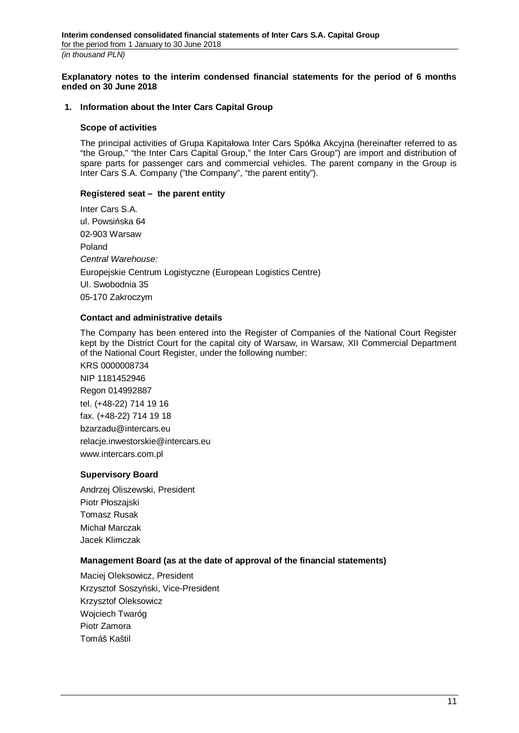<span id="page-10-0"></span>**Explanatory notes to the interim condensed financial statements for the period of 6 months ended on 30 June 2018**

#### <span id="page-10-1"></span>**1. Information about the Inter Cars Capital Group**

#### **Scope of activities**

The principal activities of Grupa Kapitałowa Inter Cars Spółka Akcyjna (hereinafter referred to as "the Group," "the Inter Cars Capital Group," the Inter Cars Group") are import and distribution of spare parts for passenger cars and commercial vehicles. The parent company in the Group is Inter Cars S.A. Company ("the Company", "the parent entity").

### **Registered seat – the parent entity**

Inter Cars S.A. ul. Powsińska 64 02-903 Warsaw Poland *Central Warehouse:* Europejskie Centrum Logistyczne (European Logistics Centre) Ul. Swobodnia 35 05-170 Zakroczym

### **Contact and administrative details**

The Company has been entered into the Register of Companies of the National Court Register kept by the District Court for the capital city of Warsaw, in Warsaw, XII Commercial Department of the National Court Register, under the following number:

KRS 0000008734 NIP 1181452946 Regon 014992887 tel. (+48-22) 714 19 16 fax. (+48-22) 714 19 18 bzarzadu@intercars.eu relacje.inwestorskie@intercars.eu www.intercars.com.pl

#### **Supervisory Board**

Andrzej Oliszewski, President Piotr Płoszajski Tomasz Rusak Michał Marczak Jacek Klimczak

## **Management Board (as at the date of approval of the financial statements)**

Maciej Oleksowicz, President Krzysztof Soszyński, Vice-President Krzysztof Oleksowicz Wojciech Twaróg Piotr Zamora Tomáš Kaštil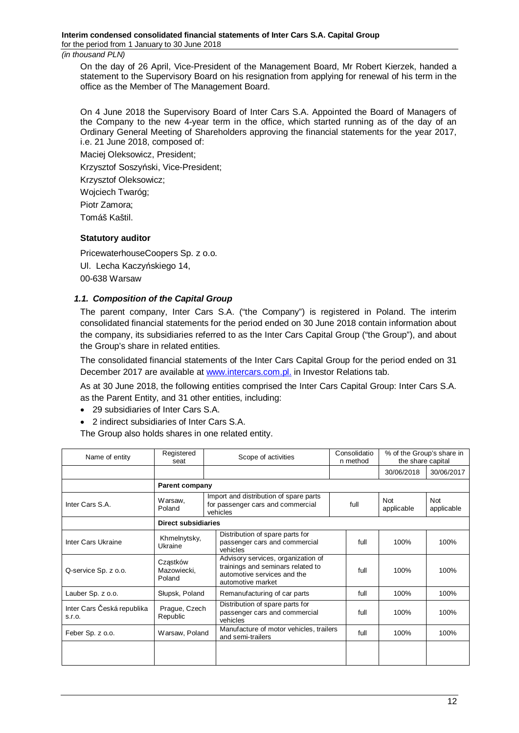On the day of 26 April, Vice-President of the Management Board, Mr Robert Kierzek, handed a statement to the Supervisory Board on his resignation from applying for renewal of his term in the office as the Member of The Management Board.

On 4 June 2018 the Supervisory Board of Inter Cars S.A. Appointed the Board of Managers of the Company to the new 4-year term in the office, which started running as of the day of an Ordinary General Meeting of Shareholders approving the financial statements for the year 2017, i.e. 21 June 2018, composed of:

Maciej Oleksowicz, President;

Krzysztof Soszyński, Vice-President;

Krzysztof Oleksowicz;

Wojciech Twaróg;

Piotr Zamora;

Tomáš Kaštil.

### **Statutory auditor**

PricewaterhouseCoopers Sp. z o.o. Ul. Lecha Kaczyńskiego 14, 00-638 Warsaw

## <span id="page-11-0"></span>*1.1. Composition of the Capital Group*

The parent company, Inter Cars S.A. ("the Company") is registered in Poland. The interim consolidated financial statements for the period ended on 30 June 2018 contain information about the company, its subsidiaries referred to as the Inter Cars Capital Group ("the Group"), and about the Group's share in related entities.

The consolidated financial statements of the Inter Cars Capital Group for the period ended on 31 December 2017 are available at [www.intercars.com.pl.](http://www.intercars.com.pl/) in Investor Relations tab.

As at 30 June 2018, the following entities comprised the Inter Cars Capital Group: Inter Cars S.A. as the Parent Entity, and 31 other entities, including:

- · 29 subsidiaries of Inter Cars S.A.
- · 2 indirect subsidiaries of Inter Cars S.A.

The Group also holds shares in one related entity.

| Name of entity                       | Registered<br>seat                |  | Scope of activities                                                                                                         | Consolidatio<br>n method | % of the Group's share in<br>the share capital |                   |
|--------------------------------------|-----------------------------------|--|-----------------------------------------------------------------------------------------------------------------------------|--------------------------|------------------------------------------------|-------------------|
|                                      |                                   |  |                                                                                                                             |                          | 30/06/2018                                     | 30/06/2017        |
|                                      | <b>Parent company</b>             |  |                                                                                                                             |                          |                                                |                   |
| Inter Cars S.A.                      | Warsaw,<br>Poland                 |  | Import and distribution of spare parts<br>for passenger cars and commercial<br>vehicles                                     | full                     | <b>Not</b><br>applicable                       | Not<br>applicable |
|                                      | <b>Direct subsidiaries</b>        |  |                                                                                                                             |                          |                                                |                   |
| Inter Cars Ukraine                   | Khmelnytsky,<br>Ukraine           |  | Distribution of spare parts for<br>passenger cars and commercial<br>vehicles                                                | full                     | 100%                                           | 100%              |
| Q-service Sp. z o.o.                 | Cząstków<br>Mazowiecki,<br>Poland |  | Advisory services, organization of<br>trainings and seminars related to<br>automotive services and the<br>automotive market | full                     | 100%                                           | 100%              |
| Lauber Sp. z o.o.                    | Słupsk, Poland                    |  | Remanufacturing of car parts                                                                                                | full                     | 100%                                           | 100%              |
| Inter Cars Česká republika<br>S.I.O. | Prague, Czech<br>Republic         |  | Distribution of spare parts for<br>passenger cars and commercial<br>vehicles                                                | full                     | 100%                                           | 100%              |
| Feber Sp. z o.o.                     | Warsaw, Poland                    |  | Manufacture of motor vehicles, trailers<br>full<br>and semi-trailers                                                        |                          | 100%                                           | 100%              |
|                                      |                                   |  |                                                                                                                             |                          |                                                |                   |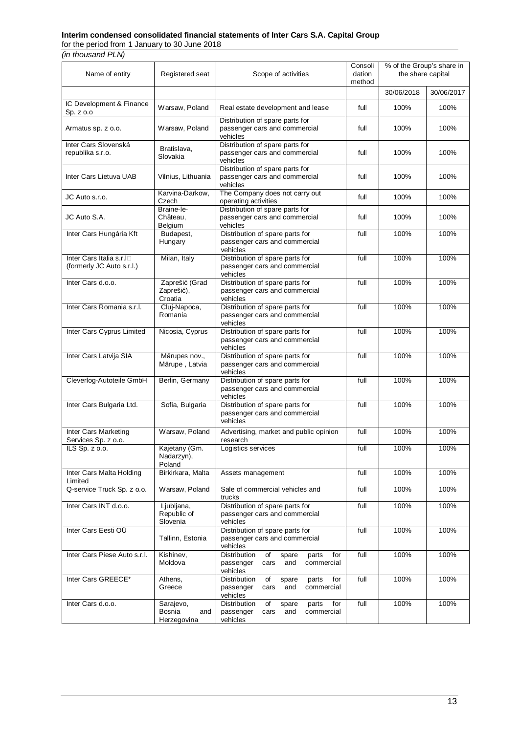#### **Interim condensed consolidated financial statements of Inter Cars S.A. Capital Group**

for the period from 1 January to 30 June 2018

*(in thousand PLN)*

| Name of entity                                        | Registered seat                           | Scope of activities                                                                                      | Consoli<br>dation<br>method | % of the Group's share in<br>the share capital |            |
|-------------------------------------------------------|-------------------------------------------|----------------------------------------------------------------------------------------------------------|-----------------------------|------------------------------------------------|------------|
|                                                       |                                           |                                                                                                          |                             | 30/06/2018                                     | 30/06/2017 |
| IC Development & Finance<br>Sp. z o.o                 | Warsaw, Poland                            | Real estate development and lease                                                                        | full                        | 100%                                           | 100%       |
| Armatus sp. z o.o.                                    | Warsaw, Poland                            | Distribution of spare parts for<br>passenger cars and commercial<br>vehicles                             | full                        | 100%                                           | 100%       |
| Inter Cars Slovenská<br>republika s.r.o.              | Bratislava,<br>Slovakia                   | Distribution of spare parts for<br>passenger cars and commercial<br>vehicles                             | full                        | 100%                                           | 100%       |
| Inter Cars Lietuva UAB                                | Vilnius, Lithuania                        | Distribution of spare parts for<br>passenger cars and commercial<br>vehicles                             | full                        | 100%                                           | 100%       |
| JC Auto s.r.o.                                        | Karvina-Darkow,<br>Czech                  | The Company does not carry out<br>operating activities                                                   | full                        | 100%                                           | 100%       |
| JC Auto S.A.                                          | Braine-le-<br>Château,<br>Belgium         | Distribution of spare parts for<br>passenger cars and commercial<br>vehicles                             | full                        | 100%                                           | 100%       |
| Inter Cars Hungária Kft                               | Budapest,<br>Hungary                      | Distribution of spare parts for<br>passenger cars and commercial<br>vehicles                             | full                        | 100%                                           | 100%       |
| Inter Cars Italia s.r.In<br>(formerly JC Auto s.r.l.) | Milan, Italy                              | Distribution of spare parts for<br>passenger cars and commercial<br>vehicles                             | full                        | 100%                                           | 100%       |
| Inter Cars d.o.o.                                     | Zaprešić (Grad<br>Zaprešić),<br>Croatia   | Distribution of spare parts for<br>passenger cars and commercial<br>vehicles                             | full                        | 100%                                           | 100%       |
| Inter Cars Romania s.r.l.                             | Cluj-Napoca,<br>Romania                   | Distribution of spare parts for<br>passenger cars and commercial<br>vehicles                             | full                        | 100%                                           | 100%       |
| Inter Cars Cyprus Limited                             | Nicosia, Cyprus                           | Distribution of spare parts for<br>passenger cars and commercial<br>vehicles                             | full                        | 100%                                           | 100%       |
| Inter Cars Latvija SIA                                | Mārupes nov.,<br>Mārupe, Latvia           | Distribution of spare parts for<br>passenger cars and commercial<br>vehicles                             | full                        | 100%                                           | 100%       |
| Cleverlog-Autoteile GmbH                              | Berlin, Germany                           | Distribution of spare parts for<br>passenger cars and commercial<br>vehicles                             | full                        | 100%                                           | 100%       |
| Inter Cars Bulgaria Ltd.                              | Sofia, Bulgaria                           | Distribution of spare parts for<br>passenger cars and commercial<br>vehicles                             | full                        | 100%                                           | 100%       |
| Inter Cars Marketing<br>Services Sp. z o.o.           | Warsaw, Poland                            | Advertising, market and public opinion<br>research                                                       | full                        | 100%                                           | 100%       |
| $\overline{IL}S$ Sp. $z$ o.o.                         | Kajetany (Gm.<br>Nadarzyn),<br>Poland     | Logistics services                                                                                       | full                        | 100%                                           | 100%       |
| Inter Cars Malta Holding<br>Limited                   | Birkirkara, Malta                         | Assets management                                                                                        | full                        | 100%                                           | 100%       |
| Q-service Truck Sp. z o.o.                            | Warsaw, Poland                            | Sale of commercial vehicles and<br>trucks                                                                | full                        | 100%                                           | 100%       |
| Inter Cars INT d.o.o.                                 | Ljubljana,<br>Republic of<br>Slovenia     | Distribution of spare parts for<br>passenger cars and commercial<br>vehicles                             | full                        | 100%                                           | 100%       |
| Inter Cars Eesti OÜ                                   | Tallinn, Estonia                          | Distribution of spare parts for<br>passenger cars and commercial<br>vehicles                             | full                        | 100%                                           | 100%       |
| Inter Cars Piese Auto s.r.l.                          | Kishinev,<br>Moldova                      | Distribution<br>of<br>spare<br>parts<br>for<br>cars<br>and<br>commercial<br>passenger<br>vehicles        | full                        | 100%                                           | 100%       |
| Inter Cars GREECE*                                    | Athens,<br>Greece                         | Distribution<br>of<br>parts<br>for<br>spare<br>passenger<br>and<br>commercial<br>cars<br>vehicles        | full                        | 100%                                           | 100%       |
| Inter Cars d.o.o.                                     | Sarajevo,<br>Bosnia<br>and<br>Herzegovina | <b>Distribution</b><br>of<br>parts<br>for<br>spare<br>passenger<br>and<br>commercial<br>cars<br>vehicles | full                        | 100%                                           | 100%       |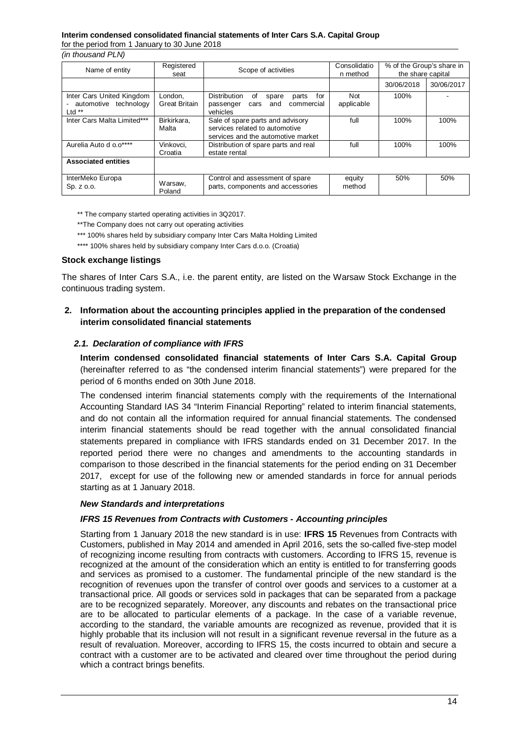# **Interim condensed consolidated financial statements of Inter Cars S.A. Capital Group**

for the period from 1 January to 30 June 2018

*(in thousand PLN)*

| Name of entity                                                 | Registered<br>seat              | Scope of activities                                                                                      | Consolidatio<br>n method | % of the Group's share in<br>the share capital |            |
|----------------------------------------------------------------|---------------------------------|----------------------------------------------------------------------------------------------------------|--------------------------|------------------------------------------------|------------|
|                                                                |                                 |                                                                                                          |                          | 30/06/2018                                     | 30/06/2017 |
| Inter Cars United Kingdom<br>automotive technology<br>Ltd $**$ | London.<br><b>Great Britain</b> | Distribution<br>οf<br>for<br>parts<br>spare<br>commercial<br>and<br>passenger<br>cars<br>vehicles        | Not<br>applicable        | 100%                                           |            |
| Inter Cars Malta Limited***                                    | Birkirkara,<br>Malta            | Sale of spare parts and advisory<br>services related to automotive<br>services and the automotive market | full                     | 100%                                           | 100%       |
| Aurelia Auto d o.o****                                         | Vinkovci,<br>Croatia            | Distribution of spare parts and real<br>estate rental                                                    | full                     | 100%                                           | 100%       |
| <b>Associated entities</b>                                     |                                 |                                                                                                          |                          |                                                |            |
| InterMeko Europa<br>Sp. z o.o.                                 | Warsaw,<br>Poland               | Control and assessment of spare<br>parts, components and accessories                                     | equity<br>method         | 50%                                            | 50%        |

\*\* The company started operating activities in 3Q2017.

- \*\*The Company does not carry out operating activities
- \*\*\* 100% shares held by subsidiary company Inter Cars Malta Holding Limited
- \*\*\*\* 100% shares held by subsidiary company Inter Cars d.o.o. (Croatia)

## **Stock exchange listings**

The shares of Inter Cars S.A., i.e. the parent entity, are listed on the Warsaw Stock Exchange in the continuous trading system.

## <span id="page-13-0"></span>**2. Information about the accounting principles applied in the preparation of the condensed interim consolidated financial statements**

## *2.1. Declaration of compliance with IFRS*

<span id="page-13-1"></span>**Interim condensed consolidated financial statements of Inter Cars S.A. Capital Group** (hereinafter referred to as "the condensed interim financial statements") were prepared for the period of 6 months ended on 30th June 2018.

The condensed interim financial statements comply with the requirements of the International Accounting Standard IAS 34 "Interim Financial Reporting" related to interim financial statements, and do not contain all the information required for annual financial statements. The condensed interim financial statements should be read together with the annual consolidated financial statements prepared in compliance with IFRS standards ended on 31 December 2017. In the reported period there were no changes and amendments to the accounting standards in comparison to those described in the financial statements for the period ending on 31 December 2017, except for use of the following new or amended standards in force for annual periods starting as at 1 January 2018.

## *New Standards and interpretations*

## *IFRS 15 Revenues from Contracts with Customers - Accounting principles*

Starting from 1 January 2018 the new standard is in use: **IFRS 15** Revenues from Contracts with Customers, published in May 2014 and amended in April 2016, sets the so-called five-step model of recognizing income resulting from contracts with customers. According to IFRS 15, revenue is recognized at the amount of the consideration which an entity is entitled to for transferring goods and services as promised to a customer. The fundamental principle of the new standard is the recognition of revenues upon the transfer of control over goods and services to a customer at a transactional price. All goods or services sold in packages that can be separated from a package are to be recognized separately. Moreover, any discounts and rebates on the transactional price are to be allocated to particular elements of a package. In the case of a variable revenue, according to the standard, the variable amounts are recognized as revenue, provided that it is highly probable that its inclusion will not result in a significant revenue reversal in the future as a result of revaluation. Moreover, according to IFRS 15, the costs incurred to obtain and secure a contract with a customer are to be activated and cleared over time throughout the period during which a contract brings benefits.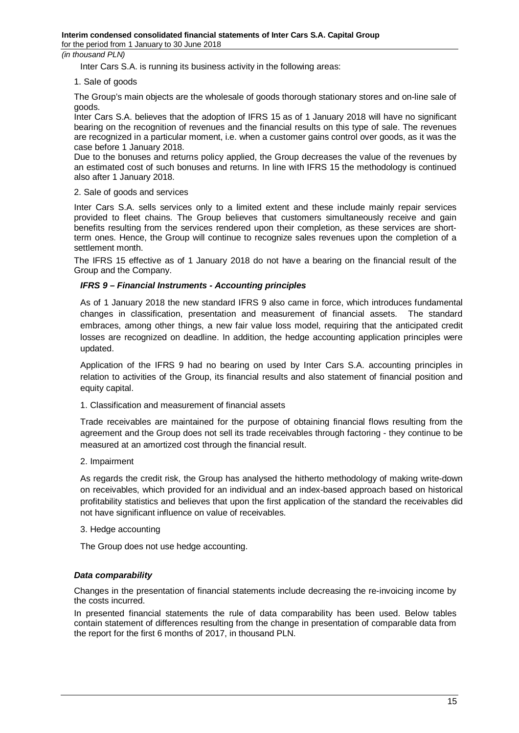Inter Cars S.A. is running its business activity in the following areas:

### 1. Sale of goods

The Group's main objects are the wholesale of goods thorough stationary stores and on-line sale of goods.

Inter Cars S.A. believes that the adoption of IFRS 15 as of 1 January 2018 will have no significant bearing on the recognition of revenues and the financial results on this type of sale. The revenues are recognized in a particular moment, i.e. when a customer gains control over goods, as it was the case before 1 January 2018.

Due to the bonuses and returns policy applied, the Group decreases the value of the revenues by an estimated cost of such bonuses and returns. In line with IFRS 15 the methodology is continued also after 1 January 2018.

### 2. Sale of goods and services

Inter Cars S.A. sells services only to a limited extent and these include mainly repair services provided to fleet chains. The Group believes that customers simultaneously receive and gain benefits resulting from the services rendered upon their completion, as these services are shortterm ones. Hence, the Group will continue to recognize sales revenues upon the completion of a settlement month.

The IFRS 15 effective as of 1 January 2018 do not have a bearing on the financial result of the Group and the Company.

## *IFRS 9 – Financial Instruments - Accounting principles*

As of 1 January 2018 the new standard IFRS 9 also came in force, which introduces fundamental changes in classification, presentation and measurement of financial assets. The standard embraces, among other things, a new fair value loss model, requiring that the anticipated credit losses are recognized on deadline. In addition, the hedge accounting application principles were updated.

Application of the IFRS 9 had no bearing on used by Inter Cars S.A. accounting principles in relation to activities of the Group, its financial results and also statement of financial position and equity capital.

1. Classification and measurement of financial assets

Trade receivables are maintained for the purpose of obtaining financial flows resulting from the agreement and the Group does not sell its trade receivables through factoring - they continue to be measured at an amortized cost through the financial result.

2. Impairment

As regards the credit risk, the Group has analysed the hitherto methodology of making write-down on receivables, which provided for an individual and an index-based approach based on historical profitability statistics and believes that upon the first application of the standard the receivables did not have significant influence on value of receivables.

#### 3. Hedge accounting

The Group does not use hedge accounting.

## *Data comparability*

Changes in the presentation of financial statements include decreasing the re-invoicing income by the costs incurred.

In presented financial statements the rule of data comparability has been used. Below tables contain statement of differences resulting from the change in presentation of comparable data from the report for the first 6 months of 2017, in thousand PLN.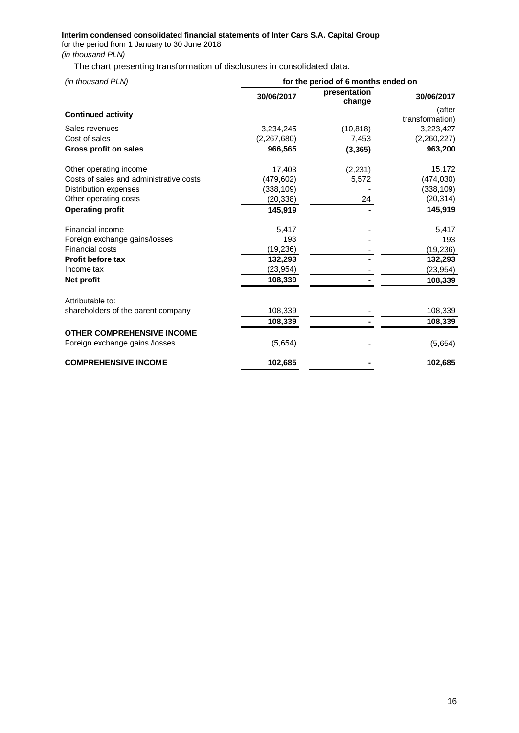The chart presenting transformation of disclosures in consolidated data.

| (in thousand PLN)                       |             | for the period of 6 months ended on |                           |
|-----------------------------------------|-------------|-------------------------------------|---------------------------|
|                                         | 30/06/2017  | presentation<br>change              | 30/06/2017                |
| <b>Continued activity</b>               |             |                                     | (after<br>transformation) |
| Sales revenues                          | 3,234,245   | (10, 818)                           | 3,223,427                 |
| Cost of sales                           | (2,267,680) | 7,453                               | (2,260,227)               |
| Gross profit on sales                   | 966,565     | (3, 365)                            | 963,200                   |
| Other operating income                  | 17,403      | (2, 231)                            | 15,172                    |
| Costs of sales and administrative costs | (479, 602)  | 5,572                               | (474, 030)                |
| Distribution expenses                   | (338, 109)  |                                     | (338, 109)                |
| Other operating costs                   | (20, 338)   | 24                                  | (20, 314)                 |
| <b>Operating profit</b>                 | 145,919     |                                     | 145,919                   |
| Financial income                        | 5,417       |                                     | 5,417                     |
| Foreign exchange gains/losses           | 193         |                                     | 193                       |
| <b>Financial costs</b>                  | (19,236)    |                                     | (19, 236)                 |
| <b>Profit before tax</b>                | 132,293     |                                     | 132,293                   |
| Income tax                              | (23, 954)   |                                     | (23, 954)                 |
| Net profit                              | 108,339     |                                     | 108,339                   |
| Attributable to:                        |             |                                     |                           |
| shareholders of the parent company      | 108,339     |                                     | 108,339                   |
|                                         | 108,339     |                                     | 108,339                   |
| <b>OTHER COMPREHENSIVE INCOME</b>       |             |                                     |                           |
| Foreign exchange gains /losses          | (5,654)     |                                     | (5,654)                   |
| <b>COMPREHENSIVE INCOME</b>             | 102,685     |                                     | 102,685                   |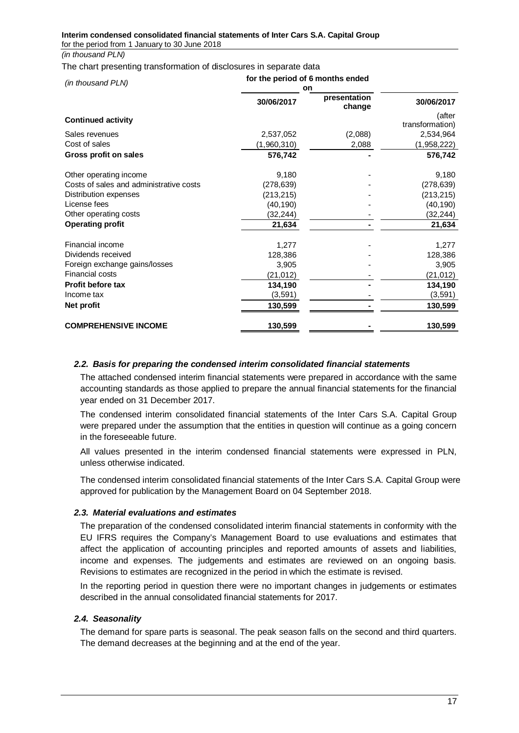#### **Interim condensed consolidated financial statements of Inter Cars S.A. Capital Group** for the period from 1 January to 30 June 2018

*(in thousand PLN)*

#### The chart presenting transformation of disclosures in separate data

| (in thousand PLN)                       | for the period of 6 months ended<br>on |                        |                 |
|-----------------------------------------|----------------------------------------|------------------------|-----------------|
|                                         | 30/06/2017                             | presentation<br>change | 30/06/2017      |
| <b>Continued activity</b>               |                                        |                        | (after          |
|                                         |                                        |                        | transformation) |
| Sales revenues                          | 2,537,052                              | (2,088)                | 2,534,964       |
| Cost of sales                           | (1,960,310)                            | 2,088                  | (1,958,222)     |
| Gross profit on sales                   | 576,742                                |                        | 576,742         |
| Other operating income                  | 9,180                                  |                        | 9,180           |
| Costs of sales and administrative costs | (278, 639)                             |                        | (278, 639)      |
| Distribution expenses                   | (213, 215)                             |                        | (213, 215)      |
| License fees                            | (40, 190)                              |                        | (40, 190)       |
| Other operating costs                   | (32,244)                               |                        | (32, 244)       |
| <b>Operating profit</b>                 | 21,634                                 |                        | 21,634          |
| Financial income                        | 1,277                                  |                        | 1,277           |
| Dividends received                      | 128,386                                |                        | 128,386         |
| Foreign exchange gains/losses           | 3,905                                  |                        | 3,905           |
| Financial costs                         | (21,012)                               |                        | (21, 012)       |
| <b>Profit before tax</b>                | 134,190                                |                        | 134,190         |
| Income tax                              | (3,591)                                |                        | (3, 591)        |
| Net profit                              | 130,599                                |                        | 130,599         |
| <b>COMPREHENSIVE INCOME</b>             | 130,599                                |                        | 130,599         |

## <span id="page-16-0"></span>*2.2. Basis for preparing the condensed interim consolidated financial statements*

The attached condensed interim financial statements were prepared in accordance with the same accounting standards as those applied to prepare the annual financial statements for the financial year ended on 31 December 2017.

The condensed interim consolidated financial statements of the Inter Cars S.A. Capital Group were prepared under the assumption that the entities in question will continue as a going concern in the foreseeable future.

All values presented in the interim condensed financial statements were expressed in PLN, unless otherwise indicated.

The condensed interim consolidated financial statements of the Inter Cars S.A. Capital Group were approved for publication by the Management Board on 04 September 2018.

## <span id="page-16-1"></span>*2.3. Material evaluations and estimates*

The preparation of the condensed consolidated interim financial statements in conformity with the EU IFRS requires the Company's Management Board to use evaluations and estimates that affect the application of accounting principles and reported amounts of assets and liabilities, income and expenses. The judgements and estimates are reviewed on an ongoing basis. Revisions to estimates are recognized in the period in which the estimate is revised.

In the reporting period in question there were no important changes in judgements or estimates described in the annual consolidated financial statements for 2017.

## *2.4. Seasonality*

<span id="page-16-2"></span>The demand for spare parts is seasonal. The peak season falls on the second and third quarters. The demand decreases at the beginning and at the end of the year.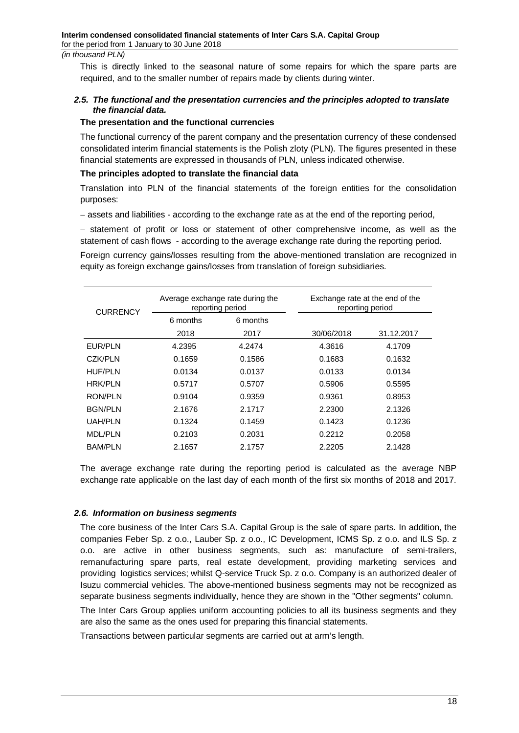This is directly linked to the seasonal nature of some repairs for which the spare parts are required, and to the smaller number of repairs made by clients during winter.

## <span id="page-17-0"></span>*2.5. The functional and the presentation currencies and the principles adopted to translate the financial data.*

#### **The presentation and the functional currencies**

The functional currency of the parent company and the presentation currency of these condensed consolidated interim financial statements is the Polish zloty (PLN). The figures presented in these financial statements are expressed in thousands of PLN, unless indicated otherwise.

### **The principles adopted to translate the financial data**

Translation into PLN of the financial statements of the foreign entities for the consolidation purposes:

- assets and liabilities - according to the exchange rate as at the end of the reporting period,

- statement of profit or loss or statement of other comprehensive income, as well as the statement of cash flows - according to the average exchange rate during the reporting period.

Foreign currency gains/losses resulting from the above-mentioned translation are recognized in equity as foreign exchange gains/losses from translation of foreign subsidiaries.

| <b>CURRENCY</b> |          | Average exchange rate during the<br>reporting period | Exchange rate at the end of the<br>reporting period |            |
|-----------------|----------|------------------------------------------------------|-----------------------------------------------------|------------|
|                 | 6 months | 6 months                                             |                                                     |            |
|                 | 2018     | 2017                                                 | 30/06/2018                                          | 31.12.2017 |
| EUR/PLN         | 4.2395   | 4.2474                                               | 4.3616                                              | 4.1709     |
| <b>CZK/PLN</b>  | 0.1659   | 0.1586                                               | 0.1683                                              | 0.1632     |
| HUF/PLN         | 0.0134   | 0.0137                                               | 0.0133                                              | 0.0134     |
| HRK/PLN         | 0.5717   | 0.5707                                               | 0.5906                                              | 0.5595     |
| RON/PLN         | 0.9104   | 0.9359                                               | 0.9361                                              | 0.8953     |
| <b>BGN/PLN</b>  | 2.1676   | 2.1717                                               | 2.2300                                              | 2.1326     |
| UAH/PLN         | 0.1324   | 0.1459                                               | 0.1423                                              | 0.1236     |
| <b>MDL/PLN</b>  | 0.2103   | 0.2031                                               | 0.2212                                              | 0.2058     |
| <b>BAM/PLN</b>  | 2.1657   | 2.1757                                               | 2.2205                                              | 2.1428     |

The average exchange rate during the reporting period is calculated as the average NBP exchange rate applicable on the last day of each month of the first six months of 2018 and 2017.

#### <span id="page-17-1"></span>*2.6. Information on business segments*

The core business of the Inter Cars S.A. Capital Group is the sale of spare parts. In addition, the companies Feber Sp. z o.o., Lauber Sp. z o.o., IC Development, ICMS Sp. z o.o. and ILS Sp. z o.o. are active in other business segments, such as: manufacture of semi-trailers, remanufacturing spare parts, real estate development, providing marketing services and providing logistics services; whilst Q-service Truck Sp. z o.o. Company is an authorized dealer of Isuzu commercial vehicles. The above-mentioned business segments may not be recognized as separate business segments individually, hence they are shown in the "Other segments" column.

The Inter Cars Group applies uniform accounting policies to all its business segments and they are also the same as the ones used for preparing this financial statements.

Transactions between particular segments are carried out at arm's length.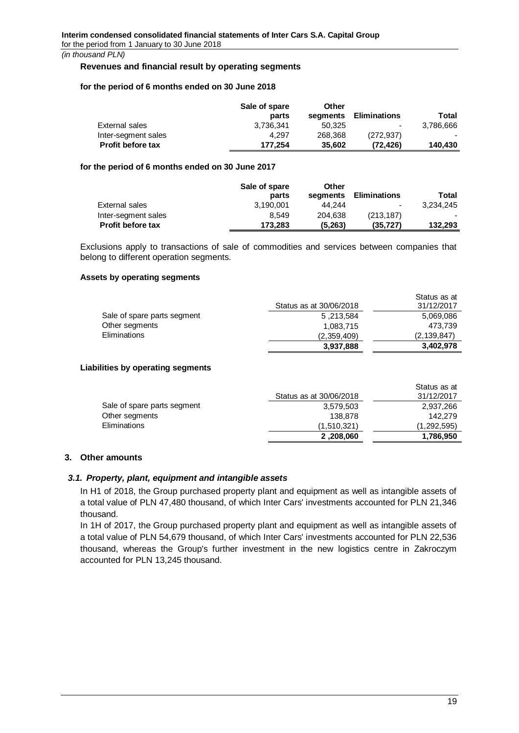#### **Revenues and financial result by operating segments**

#### **for the period of 6 months ended on 30 June 2018**

|                          | Sale of spare<br>parts | Other<br>segments | Eliminations | Total     |
|--------------------------|------------------------|-------------------|--------------|-----------|
| External sales           | 3.736.341              | 50.325            | ٠            | 3.786.666 |
| Inter-segment sales      | 4.297                  | 268,368           | (272.937)    |           |
| <b>Profit before tax</b> | 177.254                | 35.602            | (72.426)     | 140.430   |

### **for the period of 6 months ended on 30 June 2017**

|                          | Sale of spare<br>parts | Other<br>segments | <b>Eliminations</b> | Total     |
|--------------------------|------------------------|-------------------|---------------------|-----------|
| External sales           | 3,190,001              | 44.244            | $\blacksquare$      | 3.234.245 |
| Inter-segment sales      | 8.549                  | 204.638           | (213, 187)          |           |
| <b>Profit before tax</b> | 173.283                | (5,263)           | (35, 727)           | 132,293   |

Exclusions apply to transactions of sale of commodities and services between companies that belong to different operation segments.

### **Assets by operating segments**

|                             | 3,937,888               | 3.402.978    |
|-----------------------------|-------------------------|--------------|
| <b>Eliminations</b>         | (2,359,409)             | (2.139.847)  |
| Other segments              | 1.083.715               | 473.739      |
| Sale of spare parts segment | 5 ,213,584              | 5,069,086    |
|                             | Status as at 30/06/2018 | 31/12/2017   |
|                             |                         | Status as at |

#### **Liabilities by operating segments**

|                             | Status as at 30/06/2018 | Status as at<br>31/12/2017 |
|-----------------------------|-------------------------|----------------------------|
| Sale of spare parts segment | 3,579,503               | 2,937,266                  |
| Other segments              | 138,878                 | 142,279                    |
| Eliminations                | (1.510.321)             | (1,292,595)                |
|                             | 2,208,060               | 1,786,950                  |

# <span id="page-18-0"></span>**3. Other amounts**

## *3.1. Property, plant, equipment and intangible assets*

<span id="page-18-1"></span>In H1 of 2018, the Group purchased property plant and equipment as well as intangible assets of a total value of PLN 47,480 thousand, of which Inter Cars' investments accounted for PLN 21,346 thousand.

In 1H of 2017, the Group purchased property plant and equipment as well as intangible assets of a total value of PLN 54,679 thousand, of which Inter Cars' investments accounted for PLN 22,536 thousand, whereas the Group's further investment in the new logistics centre in Zakroczym accounted for PLN 13,245 thousand.

 $\sim$  at at at at at at at at  $\sim$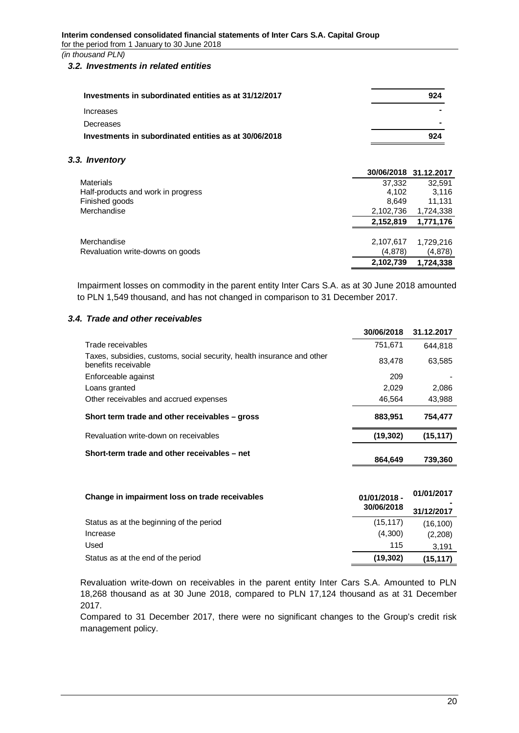## <span id="page-19-0"></span>*3.2. Investments in related entities*

| Investments in subordinated entities as at 31/12/2017 | 924 |
|-------------------------------------------------------|-----|
| Increases                                             |     |
| Decreases                                             |     |
| Investments in subordinated entities as at 30/06/2018 | 924 |

## *3.3. Inventory*

<span id="page-19-1"></span>

|                                    | 30/06/2018 | 31.12.2017 |
|------------------------------------|------------|------------|
| <b>Materials</b>                   | 37,332     | 32,591     |
| Half-products and work in progress | 4.102      | 3,116      |
| Finished goods                     | 8.649      | 11,131     |
| Merchandise                        | 2,102,736  | 1,724,338  |
|                                    | 2,152,819  | 1,771,176  |
| Merchandise                        | 2,107,617  | 1,729,216  |
| Revaluation write-downs on goods   | (4,878)    | (4,878)    |
|                                    | 2,102,739  | 1,724,338  |

Impairment losses on commodity in the parent entity Inter Cars S.A. as at 30 June 2018 amounted to PLN 1,549 thousand, and has not changed in comparison to 31 December 2017.

## *3.4. Trade and other receivables*

<span id="page-19-2"></span>

|                                                                                               | 30/06/2018 | 31.12.2017 |
|-----------------------------------------------------------------------------------------------|------------|------------|
| Trade receivables                                                                             | 751,671    | 644.818    |
| Taxes, subsidies, customs, social security, health insurance and other<br>benefits receivable | 83,478     | 63,585     |
| Enforceable against                                                                           | 209        |            |
| Loans granted                                                                                 | 2.029      | 2,086      |
| Other receivables and accrued expenses                                                        | 46,564     | 43,988     |
| Short term trade and other receivables – gross                                                | 883.951    | 754,477    |
| Revaluation write-down on receivables                                                         | (19, 302)  | (15, 117)  |
| Short-term trade and other receivables – net                                                  | 864.649    | 739,360    |
|                                                                                               |            |            |

| Change in impairment loss on trade receivables | 01/01/2018 -<br>30/06/2018 | 01/01/2017<br>31/12/2017 |
|------------------------------------------------|----------------------------|--------------------------|
| Status as at the beginning of the period       | (15, 117)                  | (16, 100)                |
| Increase                                       | (4.300)                    | (2,208)                  |
| Used                                           | 115                        | 3.191                    |
| Status as at the end of the period             | (19, 302)                  | (15, 117)                |

Revaluation write-down on receivables in the parent entity Inter Cars S.A. Amounted to PLN 18,268 thousand as at 30 June 2018, compared to PLN 17,124 thousand as at 31 December 2017.

Compared to 31 December 2017, there were no significant changes to the Group's credit risk management policy.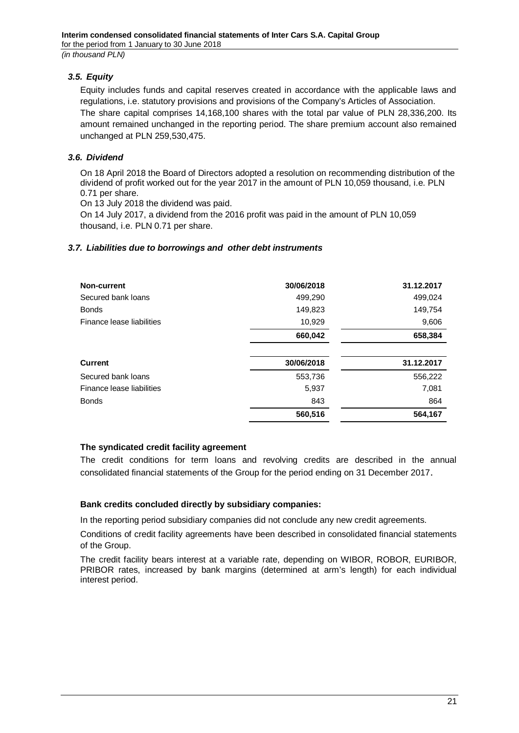*3.5. Equity*

<span id="page-20-0"></span>Equity includes funds and capital reserves created in accordance with the applicable laws and regulations, i.e. statutory provisions and provisions of the Company's Articles of Association. The share capital comprises 14,168,100 shares with the total par value of PLN 28,336,200. Its amount remained unchanged in the reporting period. The share premium account also remained unchanged at PLN 259,530,475.

## *3.6. Dividend*

<span id="page-20-1"></span>On 18 April 2018 the Board of Directors adopted a resolution on recommending distribution of the dividend of profit worked out for the year 2017 in the amount of PLN 10,059 thousand, i.e. PLN 0.71 per share.

On 13 July 2018 the dividend was paid.

On 14 July 2017, a dividend from the 2016 profit was paid in the amount of PLN 10,059 thousand, i.e. PLN 0.71 per share.

## <span id="page-20-2"></span>*3.7. Liabilities due to borrowings and other debt instruments*

| Non-current               | 30/06/2018 | 31.12.2017 |
|---------------------------|------------|------------|
| Secured bank loans        | 499,290    | 499,024    |
| <b>Bonds</b>              | 149,823    | 149,754    |
| Finance lease liabilities | 10,929     | 9,606      |
|                           | 660,042    | 658,384    |
| <b>Current</b>            | 30/06/2018 | 31.12.2017 |
| Secured bank loans        | 553,736    | 556,222    |
| Finance lease liabilities | 5,937      | 7,081      |
| <b>Bonds</b>              | 843        | 864        |
|                           | 560,516    | 564,167    |

## **The syndicated credit facility agreement**

The credit conditions for term loans and revolving credits are described in the annual consolidated financial statements of the Group for the period ending on 31 December 2017.

## **Bank credits concluded directly by subsidiary companies:**

In the reporting period subsidiary companies did not conclude any new credit agreements.

Conditions of credit facility agreements have been described in consolidated financial statements of the Group.

The credit facility bears interest at a variable rate, depending on WIBOR, ROBOR, EURIBOR, PRIBOR rates, increased by bank margins (determined at arm's length) for each individual interest period.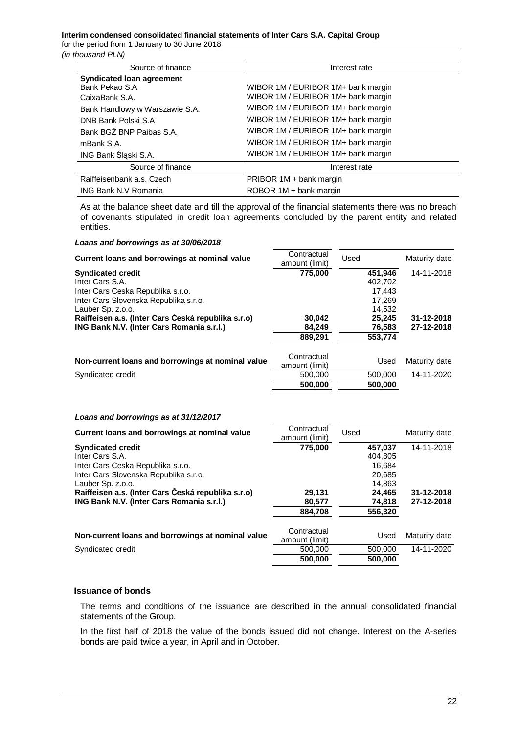#### **Interim condensed consolidated financial statements of Inter Cars S.A. Capital Group** for the period from 1 January to 30 June 2018

#### *(in thousand PLN)*

| Source of finance                | Interest rate                      |
|----------------------------------|------------------------------------|
| <b>Syndicated loan agreement</b> |                                    |
| Bank Pekao S.A                   | WIBOR 1M / EURIBOR 1M+ bank margin |
| CaixaBank S.A.                   | WIBOR 1M / EURIBOR 1M+ bank margin |
| Bank Handlowy w Warszawie S.A.   | WIBOR 1M / EURIBOR 1M+ bank margin |
| DNB Bank Polski S.A.             | WIBOR 1M / EURIBOR 1M+ bank margin |
| Bank BGZ BNP Paibas S.A.         | WIBOR 1M / EURIBOR 1M+ bank margin |
| mBank S.A.                       | WIBOR 1M / EURIBOR 1M+ bank margin |
| ING Bank Śląski S.A.             | WIBOR 1M / EURIBOR 1M+ bank margin |
| Source of finance                | Interest rate                      |
| Raiffeisenbank a.s. Czech        | PRIBOR 1M + bank margin            |
| <b>ING Bank N.V Romania</b>      | ROBOR 1M + bank margin             |

As at the balance sheet date and till the approval of the financial statements there was no breach of covenants stipulated in credit loan agreements concluded by the parent entity and related entities.

### *Loans and borrowings as at 30/06/2018*

| Current loans and borrowings at nominal value      | Contractual<br>amount (limit) | Used    | Maturity date |
|----------------------------------------------------|-------------------------------|---------|---------------|
| <b>Syndicated credit</b>                           | 775.000                       | 451.946 | 14-11-2018    |
| Inter Cars S.A.                                    |                               | 402.702 |               |
| Inter Cars Ceska Republika s.r.o.                  |                               | 17.443  |               |
| Inter Cars Slovenska Republika s.r.o.              |                               | 17.269  |               |
| Lauber Sp. z.o.o.                                  |                               | 14.532  |               |
| Raiffeisen a.s. (Inter Cars Česká republika s.r.o) | 30,042                        | 25.245  | 31-12-2018    |
| ING Bank N.V. (Inter Cars Romania s.r.l.)          | 84,249                        | 76,583  | 27-12-2018    |
|                                                    | 889,291                       | 553,774 |               |
| Non-current loans and borrowings at nominal value  | Contractual<br>amount (limit) | Used    | Maturity date |
| Syndicated credit                                  | 500,000                       | 500,000 | 14-11-2020    |
|                                                    | 500,000                       | 500,000 |               |

#### *Loans and borrowings as at 31/12/2017*

| Current loans and borrowings at nominal value      | Contractual<br>amount (limit) | Used |         | Maturity date |
|----------------------------------------------------|-------------------------------|------|---------|---------------|
| <b>Syndicated credit</b>                           | 775,000                       |      | 457.037 | 14-11-2018    |
| Inter Cars S.A.                                    |                               |      | 404.805 |               |
| Inter Cars Ceska Republika s.r.o.                  |                               |      | 16.684  |               |
| Inter Cars Slovenska Republika s.r.o.              |                               |      | 20,685  |               |
| Lauber Sp. z.o.o.                                  |                               |      | 14.863  |               |
| Raiffeisen a.s. (Inter Cars Česká republika s.r.o) | 29,131                        |      | 24.465  | 31-12-2018    |
| ING Bank N.V. (Inter Cars Romania s.r.l.)          | 80,577                        |      | 74,818  | 27-12-2018    |
|                                                    | 884,708                       |      | 556,320 |               |
|                                                    | Contractual                   |      |         |               |
| Non-current loans and borrowings at nominal value  | amount (limit)                |      | Used    | Maturity date |
| Syndicated credit                                  | 500,000                       |      | 500,000 | 14-11-2020    |
|                                                    | 500.000                       |      | 500,000 |               |

#### **Issuance of bonds**

The terms and conditions of the issuance are described in the annual consolidated financial statements of the Group.

In the first half of 2018 the value of the bonds issued did not change. Interest on the A-series bonds are paid twice a year, in April and in October.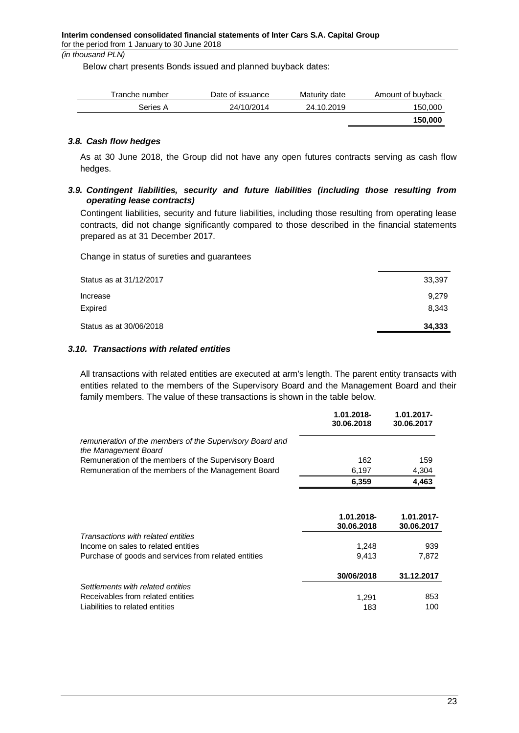Below chart presents Bonds issued and planned buyback dates:

| Tranche number | Date of issuance | Maturity date | Amount of buyback |
|----------------|------------------|---------------|-------------------|
| Series A       | 24/10/2014       | 24.10.2019    | 150,000           |
|                |                  |               | 150,000           |

## *3.8. Cash flow hedges*

<span id="page-22-0"></span>As at 30 June 2018, the Group did not have any open futures contracts serving as cash flow hedges.

## <span id="page-22-1"></span>*3.9. Contingent liabilities, security and future liabilities (including those resulting from operating lease contracts)*

Contingent liabilities, security and future liabilities, including those resulting from operating lease contracts, did not change significantly compared to those described in the financial statements prepared as at 31 December 2017.

Change in status of sureties and guarantees

| Status as at 31/12/2017 | 33,397 |
|-------------------------|--------|
| Increase                | 9,279  |
| Expired                 | 8,343  |
| Status as at 30/06/2018 | 34,333 |
|                         |        |

## <span id="page-22-2"></span>*3.10. Transactions with related entities*

All transactions with related entities are executed at arm's length. The parent entity transacts with entities related to the members of the Supervisory Board and the Management Board and their family members. The value of these transactions is shown in the table below.

|                                                                                  | 1.01.2018-<br>30.06.2018 | $1.01.2017 -$<br>30.06.2017 |
|----------------------------------------------------------------------------------|--------------------------|-----------------------------|
| remuneration of the members of the Supervisory Board and<br>the Management Board |                          |                             |
| Remuneration of the members of the Supervisory Board                             | 162                      | 159                         |
| Remuneration of the members of the Management Board                              | 6.197                    | 4,304                       |
|                                                                                  | 6,359                    | 4,463                       |
|                                                                                  |                          |                             |

|                                                      | 1.01.2018-<br>30.06.2018 | $1.01.2017 -$<br>30.06.2017 |
|------------------------------------------------------|--------------------------|-----------------------------|
| Transactions with related entities                   |                          |                             |
| Income on sales to related entities                  | 1.248                    | 939                         |
| Purchase of goods and services from related entities | 9.413                    | 7,872                       |
|                                                      | 30/06/2018               | 31.12.2017                  |
| Settlements with related entities                    |                          |                             |
| Receivables from related entities                    | 1.291                    | 853                         |
| Liabilities to related entities                      | 183                      | 100                         |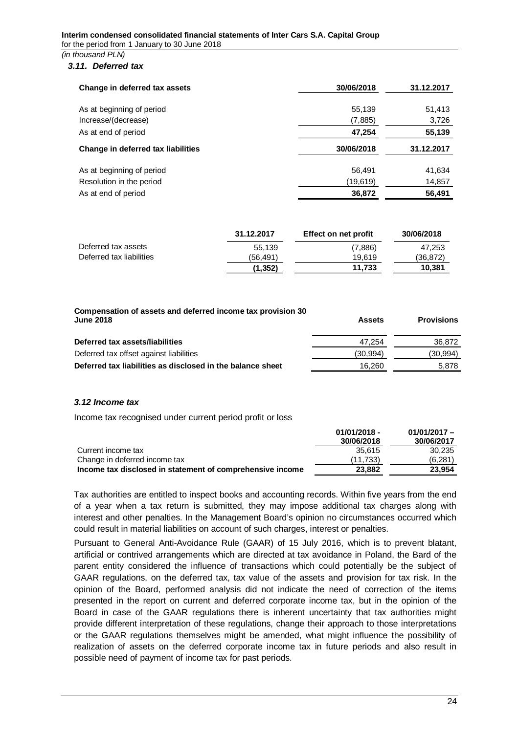### <span id="page-23-0"></span>*3.11. Deferred tax*

| Change in deferred tax assets      | 30/06/2018<br>31.12.2017 |            |  |
|------------------------------------|--------------------------|------------|--|
|                                    |                          |            |  |
| As at beginning of period          | 55,139                   | 51,413     |  |
| Increase/(decrease)                | (7,885)                  | 3,726      |  |
| As at end of period                | 47,254                   | 55,139     |  |
| Change in deferred tax liabilities | 30/06/2018               | 31.12.2017 |  |
| As at beginning of period          | 56,491                   | 41,634     |  |
| Resolution in the period           | (19,619)                 | 14,857     |  |
| As at end of period                | 36,872                   | 56,491     |  |

|                          | 31.12.2017 | Effect on net profit | 30/06/2018 |
|--------------------------|------------|----------------------|------------|
| Deferred tax assets      | 55.139     | (7,886)              | 47.253     |
| Deferred tax liabilities | (56.491)   | 19.619               | (36,872)   |
|                          | (1, 352)   | 11.733               | 10.381     |

| Compensation of assets and deferred income tax provision 30<br><b>June 2018</b> | <b>Assets</b> | <b>Provisions</b> |
|---------------------------------------------------------------------------------|---------------|-------------------|
| Deferred tax assets/liabilities                                                 | 47.254        | 36,872            |
| Deferred tax offset against liabilities                                         | (30, 994)     | (30,994)          |
| Deferred tax liabilities as disclosed in the balance sheet                      | 16.260        | 5.878             |

## <span id="page-23-1"></span>*3.12 Income tax*

Income tax recognised under current period profit or loss

|                                                           | $01/01/2018 -$ | $01/01/2017 -$ |
|-----------------------------------------------------------|----------------|----------------|
|                                                           | 30/06/2018     | 30/06/2017     |
| Current income tax                                        | 35.615         | 30.235         |
| Change in deferred income tax                             | (11.733)       | (6.281)        |
| Income tax disclosed in statement of comprehensive income | 23,882         | 23.954         |

Tax authorities are entitled to inspect books and accounting records. Within five years from the end of a year when a tax return is submitted, they may impose additional tax charges along with interest and other penalties. In the Management Board's opinion no circumstances occurred which could result in material liabilities on account of such charges, interest or penalties.

Pursuant to General Anti-Avoidance Rule (GAAR) of 15 July 2016, which is to prevent blatant, artificial or contrived arrangements which are directed at tax avoidance in Poland, the Bard of the parent entity considered the influence of transactions which could potentially be the subject of GAAR regulations, on the deferred tax, tax value of the assets and provision for tax risk. In the opinion of the Board, performed analysis did not indicate the need of correction of the items presented in the report on current and deferred corporate income tax, but in the opinion of the Board in case of the GAAR regulations there is inherent uncertainty that tax authorities might provide different interpretation of these regulations, change their approach to those interpretations or the GAAR regulations themselves might be amended, what might influence the possibility of realization of assets on the deferred corporate income tax in future periods and also result in possible need of payment of income tax for past periods.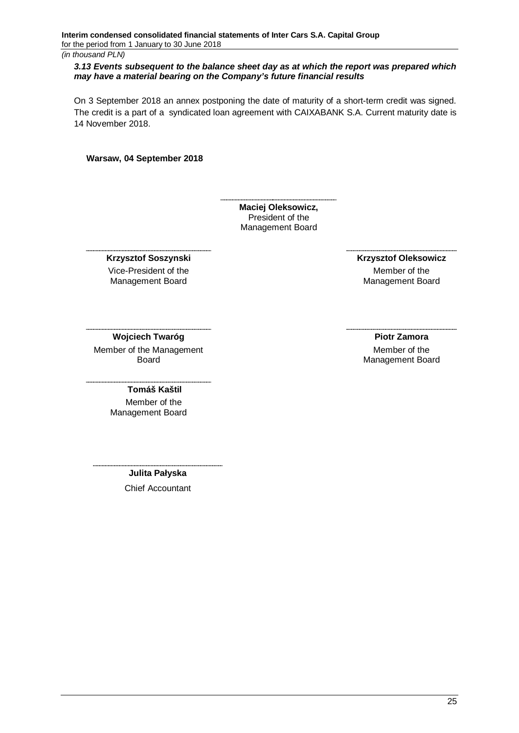### <span id="page-24-0"></span>*3.13 Events subsequent to the balance sheet day as at which the report was prepared which may have a material bearing on the Company's future financial results*

On 3 September 2018 an annex postponing the date of maturity of a short-term credit was signed. The credit is a part of a syndicated loan agreement with CAIXABANK S.A. Current maturity date is 14 November 2018.

#### **Warsaw, 04 September 2018**

**Maciej Oleksowicz,** President of the Management Board

#### **Krzysztof Soszynski**

Vice-President of the Management Board

 **Krzysztof Oleksowicz**

Member of the Management Board

#### **Wojciech Twaróg**

Member of the Management Board

**Piotr Zamora**

Member of the Management Board

#### **Tomáš Kaštil**

 Member of the Management Board

**Julita Pałyska**

Chief Accountant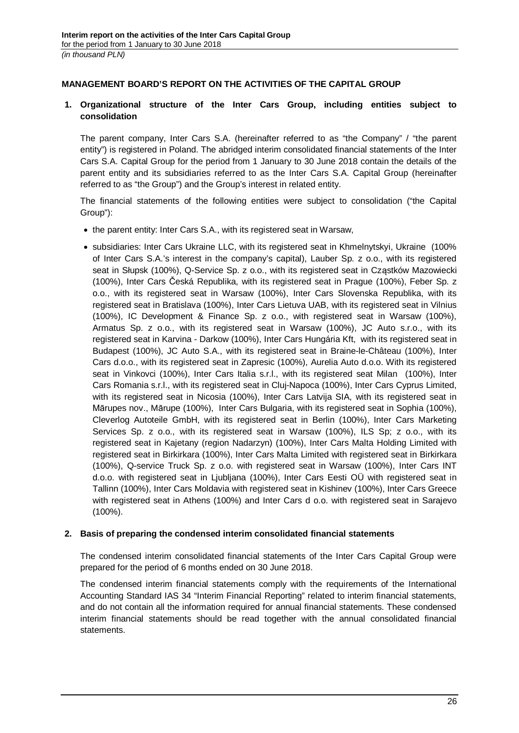# <span id="page-25-0"></span>**MANAGEMENT BOARD'S REPORT ON THE ACTIVITIES OF THE CAPITAL GROUP**

## <span id="page-25-1"></span>**1. Organizational structure of the Inter Cars Group, including entities subject to consolidation**

The parent company, Inter Cars S.A. (hereinafter referred to as "the Company" / "the parent entity") is registered in Poland. The abridged interim consolidated financial statements of the Inter Cars S.A. Capital Group for the period from 1 January to 30 June 2018 contain the details of the parent entity and its subsidiaries referred to as the Inter Cars S.A. Capital Group (hereinafter referred to as "the Group") and the Group's interest in related entity.

The financial statements of the following entities were subject to consolidation ("the Capital Group"):

- the parent entity: Inter Cars S.A., with its registered seat in Warsaw,
- · subsidiaries: Inter Cars Ukraine LLC, with its registered seat in Khmelnytskyi, Ukraine (100% of Inter Cars S.A.'s interest in the company's capital), Lauber Sp. z o.o., with its registered seat in Słupsk (100%), Q-Service Sp. z o.o., with its registered seat in Cząstków Mazowiecki (100%), Inter Cars Česká Republika, with its registered seat in Prague (100%), Feber Sp. z o.o., with its registered seat in Warsaw (100%), Inter Cars Slovenska Republika, with its registered seat in Bratislava (100%), Inter Cars Lietuva UAB, with its registered seat in Vilnius (100%), IC Development & Finance Sp. z o.o., with registered seat in Warsaw (100%), Armatus Sp. z o.o., with its registered seat in Warsaw (100%), JC Auto s.r.o., with its registered seat in Karvina - Darkow (100%), Inter Cars Hungária Kft, with its registered seat in Budapest (100%), JC Auto S.A., with its registered seat in Braine-le-Château (100%), Inter Cars d.o.o., with its registered seat in Zapresic (100%), Aurelia Auto d.o.o. With its registered seat in Vinkovci (100%), Inter Cars Italia s.r.l., with its registered seat Milan (100%), Inter Cars Romania s.r.l., with its registered seat in Cluj-Napoca (100%), Inter Cars Cyprus Limited, with its registered seat in Nicosia (100%), Inter Cars Latvija SIA, with its registered seat in Mārupes nov., Mārupe (100%), Inter Cars Bulgaria, with its registered seat in Sophia (100%), Cleverlog Autoteile GmbH, with its registered seat in Berlin (100%), Inter Cars Marketing Services Sp. z o.o., with its registered seat in Warsaw (100%), ILS Sp; z o.o., with its registered seat in Kajetany (region Nadarzyn) (100%), Inter Cars Malta Holding Limited with registered seat in Birkirkara (100%), Inter Cars Malta Limited with registered seat in Birkirkara (100%), Q-service Truck Sp. z o.o. with registered seat in Warsaw (100%), Inter Cars INT d.o.o. with registered seat in Ljubljana (100%), Inter Cars Eesti OÜ with registered seat in Tallinn (100%), Inter Cars Moldavia with registered seat in Kishinev (100%), Inter Cars Greece with registered seat in Athens (100%) and Inter Cars d o.o. with registered seat in Sarajevo (100%).

## <span id="page-25-2"></span>**2. Basis of preparing the condensed interim consolidated financial statements**

The condensed interim consolidated financial statements of the Inter Cars Capital Group were prepared for the period of 6 months ended on 30 June 2018.

The condensed interim financial statements comply with the requirements of the International Accounting Standard IAS 34 "Interim Financial Reporting" related to interim financial statements, and do not contain all the information required for annual financial statements. These condensed interim financial statements should be read together with the annual consolidated financial statements.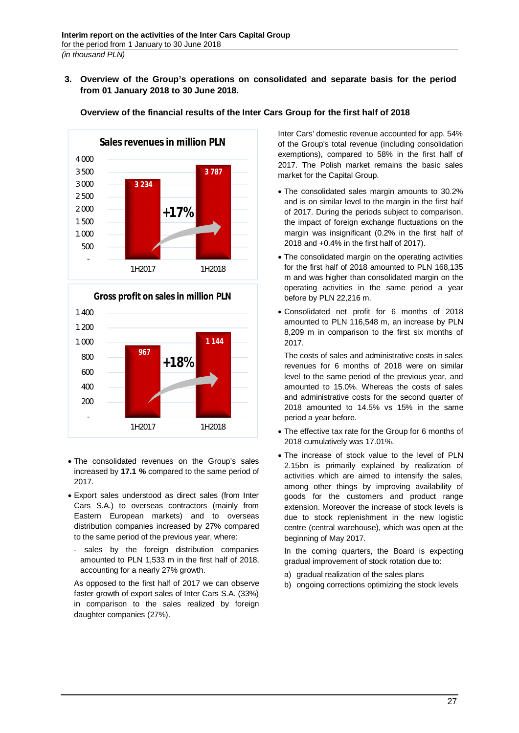## <span id="page-26-0"></span>**3. Overview of the Group's operations on consolidated and separate basis for the period from 01 January 2018 to 30 June 2018.**

**Overview of the financial results of the Inter Cars Group for the first half of 2018**



# **967 1 144** - 200 400 600 800 1 000 1 200 1 400 1H2017 1H2018 **Gross profit on sales in million PLN +18%**

- · The consolidated revenues on the Group's sales increased by **17.1 %** compared to the same period of 2017.
- · Export sales understood as direct sales (from Inter Cars S.A.) to overseas contractors (mainly from Eastern European markets) and to overseas distribution companies increased by 27% compared to the same period of the previous year, where:
	- sales by the foreign distribution companies amounted to PLN 1,533 m in the first half of 2018, accounting for a nearly 27% growth.

As opposed to the first half of 2017 we can observe faster growth of export sales of Inter Cars S.A. (33%) in comparison to the sales realized by foreign daughter companies (27%).

Inter Cars' domestic revenue accounted for app. 54% of the Group's total revenue (including consolidation exemptions), compared to 58% in the first half of 2017. The Polish market remains the basic sales market for the Capital Group.

- · The consolidated sales margin amounts to 30.2% and is on similar level to the margin in the first half of 2017. During the periods subject to comparison, the impact of foreign exchange fluctuations on the margin was insignificant (0.2% in the first half of 2018 and +0.4% in the first half of 2017).
- · The consolidated margin on the operating activities for the first half of 2018 amounted to PLN 168,135 m and was higher than consolidated margin on the operating activities in the same period a year before by PLN 22,216 m.
- · Consolidated net profit for 6 months of 2018 amounted to PLN 116,548 m, an increase by PLN 8,209 m in comparison to the first six months of 2017.

The costs of sales and administrative costs in sales revenues for 6 months of 2018 were on similar level to the same period of the previous year, and amounted to 15.0%. Whereas the costs of sales and administrative costs for the second quarter of 2018 amounted to 14.5% vs 15% in the same period a year before.

- · The effective tax rate for the Group for 6 months of 2018 cumulatively was 17.01%.
- · The increase of stock value to the level of PLN 2.15bn is primarily explained by realization of activities which are aimed to intensify the sales, among other things by improving availability of goods for the customers and product range extension. Moreover the increase of stock levels is due to stock replenishment in the new logistic centre (central warehouse), which was open at the beginning of May 2017.

In the coming quarters, the Board is expecting gradual improvement of stock rotation due to:

- a) gradual realization of the sales plans
- b) ongoing corrections optimizing the stock levels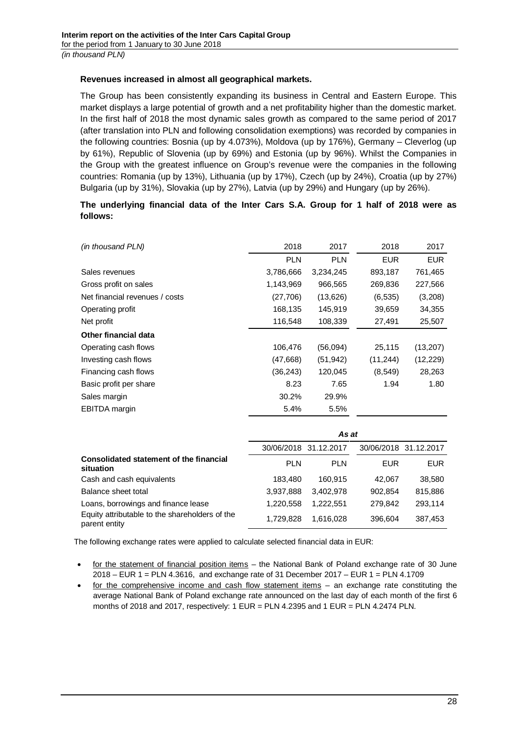## **Revenues increased in almost all geographical markets.**

The Group has been consistently expanding its business in Central and Eastern Europe. This market displays a large potential of growth and a net profitability higher than the domestic market. In the first half of 2018 the most dynamic sales growth as compared to the same period of 2017 (after translation into PLN and following consolidation exemptions) was recorded by companies in the following countries: Bosnia (up by 4.073%), Moldova (up by 176%), Germany – Cleverlog (up by 61%), Republic of Slovenia (up by 69%) and Estonia (up by 96%). Whilst the Companies in the Group with the greatest influence on Group's revenue were the companies in the following countries: Romania (up by 13%), Lithuania (up by 17%), Czech (up by 24%), Croatia (up by 27%) Bulgaria (up by 31%), Slovakia (up by 27%), Latvia (up by 29%) and Hungary (up by 26%).

# **The underlying financial data of the Inter Cars S.A. Group for 1 half of 2018 were as follows:**

| (in thousand PLN)                       | 2018       | 2017       | 2018       | 2017       |
|-----------------------------------------|------------|------------|------------|------------|
|                                         | <b>PLN</b> | <b>PLN</b> | <b>EUR</b> | <b>EUR</b> |
| Sales revenues                          | 3,786,666  | 3,234,245  | 893,187    | 761,465    |
| Gross profit on sales                   | 1,143,969  | 966,565    | 269,836    | 227,566    |
| Net financial revenues / costs          | (27,706)   | (13,626)   | (6, 535)   | (3,208)    |
| Operating profit                        | 168,135    | 145,919    | 39,659     | 34,355     |
| Net profit                              | 116,548    | 108,339    | 27,491     | 25,507     |
| <b>Other financial data</b>             |            |            |            |            |
| Operating cash flows                    | 106,476    | (56,094)   | 25,115     | (13, 207)  |
| Investing cash flows                    | (47, 668)  | (51, 942)  | (11, 244)  | (12, 229)  |
| Financing cash flows                    | (36, 243)  | 120,045    | (8, 549)   | 28,263     |
| Basic profit per share                  | 8.23       | 7.65       | 1.94       | 1.80       |
| Sales margin                            | 30.2%      | 29.9%      |            |            |
| <b>EBITDA</b> margin                    | 5.4%       | 5.5%       |            |            |
|                                         |            |            |            |            |
|                                         | As at      |            |            |            |
|                                         | 30/06/2018 | 31.12.2017 | 30/06/2018 | 31.12.2017 |
| Consolidated statement of the financial | <b>PLN</b> | <b>PLN</b> | <b>FUR</b> | <b>FUR</b> |

| Consolidated statement of the financial<br>situation            | <b>PLN</b> | <b>PLN</b> | <b>FUR</b> | <b>EUR</b> |
|-----------------------------------------------------------------|------------|------------|------------|------------|
| Cash and cash equivalents                                       | 183.480    | 160.915    | 42.067     | 38,580     |
| Balance sheet total                                             | 3.937.888  | 3.402.978  | 902.854    | 815.886    |
| Loans, borrowings and finance lease                             | 1.220.558  | 1.222.551  | 279.842    | 293.114    |
| Equity attributable to the shareholders of the<br>parent entity | 1.729.828  | 1.616.028  | 396,604    | 387.453    |

The following exchange rates were applied to calculate selected financial data in EUR:

- for the statement of financial position items the National Bank of Poland exchange rate of 30 June 2018 – EUR 1 = PLN 4.3616, and exchange rate of 31 December 2017 – EUR 1 = PLN 4.1709
- for the comprehensive income and cash flow statement items an exchange rate constituting the average National Bank of Poland exchange rate announced on the last day of each month of the first 6 months of 2018 and 2017, respectively: 1 EUR = PLN 4.2395 and 1 EUR = PLN 4.2474 PLN.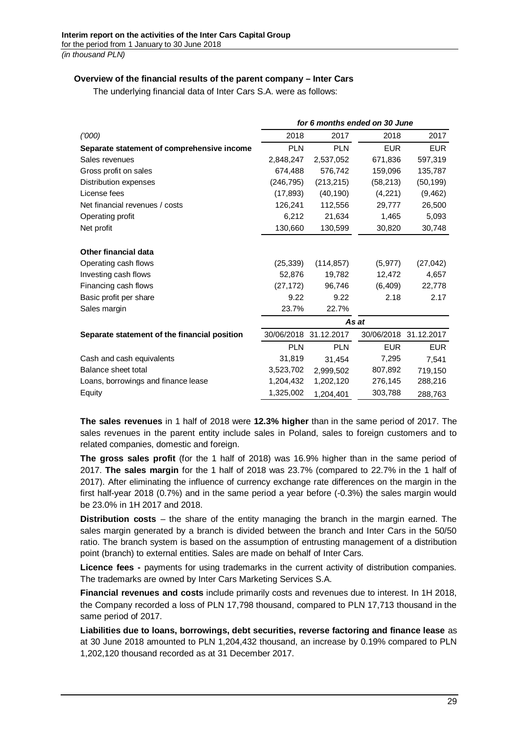## **Overview of the financial results of the parent company – Inter Cars**

The underlying financial data of Inter Cars S.A. were as follows:

| for 6 months ended on 30 June |            |                       |                       |
|-------------------------------|------------|-----------------------|-----------------------|
| 2018                          | 2017       | 2018                  | 2017                  |
| <b>PLN</b>                    | <b>PLN</b> | <b>EUR</b>            | <b>EUR</b>            |
| 2,848,247                     | 2,537,052  | 671,836               | 597,319               |
| 674,488                       | 576,742    | 159,096               | 135,787               |
| (246, 795)                    | (213, 215) | (58, 213)             | (50, 199)             |
| (17, 893)                     | (40, 190)  | (4,221)               | (9, 462)              |
| 126,241                       | 112,556    | 29,777                | 26,500                |
| 6,212                         | 21,634     | 1,465                 | 5,093                 |
| 130,660                       | 130,599    | 30,820                | 30,748                |
|                               |            |                       |                       |
|                               |            |                       |                       |
| (25, 339)                     | (114, 857) | (5, 977)              | (27, 042)             |
| 52,876                        | 19,782     | 12,472                | 4,657                 |
| (27, 172)                     | 96,746     | (6, 409)              | 22,778                |
| 9.22                          | 9.22       | 2.18                  | 2.17                  |
| 23.7%                         | 22.7%      |                       |                       |
|                               |            |                       |                       |
|                               |            |                       | 30/06/2018 31.12.2017 |
| <b>PLN</b>                    | <b>PLN</b> | <b>EUR</b>            | <b>EUR</b>            |
| 31,819                        | 31,454     | 7,295                 | 7,541                 |
| 3,523,702                     | 2,999,502  | 807,892               | 719,150               |
| 1,204,432                     | 1,202,120  | 276,145               | 288,216               |
| 1,325,002                     | 1,204,401  | 303,788               | 288,763               |
|                               |            | 30/06/2018 31.12.2017 | As at                 |

**The sales revenues** in 1 half of 2018 were **12.3% higher** than in the same period of 2017. The sales revenues in the parent entity include sales in Poland, sales to foreign customers and to related companies, domestic and foreign.

**The gross sales profit** (for the 1 half of 2018) was 16.9% higher than in the same period of 2017. **The sales margin** for the 1 half of 2018 was 23.7% (compared to 22.7% in the 1 half of 2017). After eliminating the influence of currency exchange rate differences on the margin in the first half-year 2018 (0.7%) and in the same period a year before (-0.3%) the sales margin would be 23.0% in 1H 2017 and 2018.

**Distribution costs** – the share of the entity managing the branch in the margin earned. The sales margin generated by a branch is divided between the branch and Inter Cars in the 50/50 ratio. The branch system is based on the assumption of entrusting management of a distribution point (branch) to external entities. Sales are made on behalf of Inter Cars.

**Licence fees -** payments for using trademarks in the current activity of distribution companies. The trademarks are owned by Inter Cars Marketing Services S.A.

**Financial revenues and costs** include primarily costs and revenues due to interest. In 1H 2018, the Company recorded a loss of PLN 17,798 thousand, compared to PLN 17,713 thousand in the same period of 2017.

**Liabilities due to loans, borrowings, debt securities, reverse factoring and finance lease** as at 30 June 2018 amounted to PLN 1,204,432 thousand, an increase by 0.19% compared to PLN 1,202,120 thousand recorded as at 31 December 2017.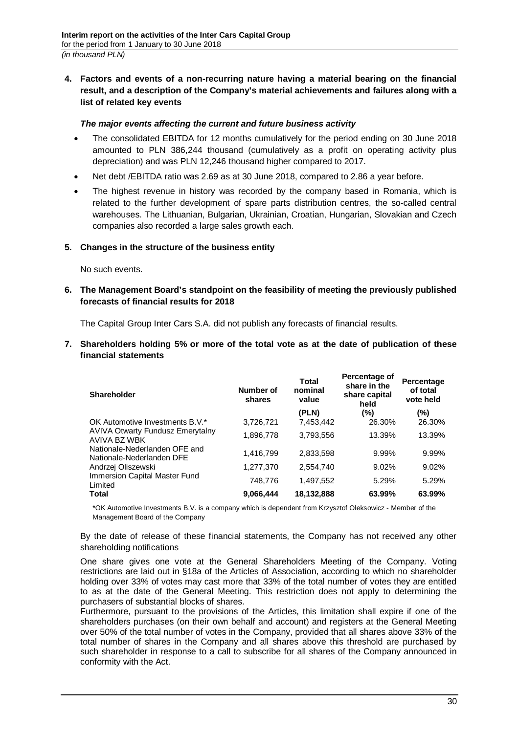<span id="page-29-0"></span>**4. Factors and events of a non-recurring nature having a material bearing on the financial result, and a description of the Company's material achievements and failures along with a list of related key events**

## *The major events affecting the current and future business activity*

- · The consolidated EBITDA for 12 months cumulatively for the period ending on 30 June 2018 amounted to PLN 386,244 thousand (cumulatively as a profit on operating activity plus depreciation) and was PLN 12,246 thousand higher compared to 2017.
- Net debt / EBITDA ratio was 2.69 as at 30 June 2018, compared to 2.86 a year before.
- The highest revenue in history was recorded by the company based in Romania, which is related to the further development of spare parts distribution centres, the so-called central warehouses. The Lithuanian, Bulgarian, Ukrainian, Croatian, Hungarian, Slovakian and Czech companies also recorded a large sales growth each.

## <span id="page-29-1"></span>**5. Changes in the structure of the business entity**

No such events.

<span id="page-29-2"></span>**6. The Management Board's standpoint on the feasibility of meeting the previously published forecasts of financial results for 2018**

The Capital Group Inter Cars S.A. did not publish any forecasts of financial results.

<span id="page-29-3"></span>**7. Shareholders holding 5% or more of the total vote as at the date of publication of these financial statements**

| <b>Shareholder</b>                                         | Number of<br>shares | Total<br>nominal<br>value | Percentage of<br>share in the<br>share capital<br>held | Percentage<br>of total<br>vote held |
|------------------------------------------------------------|---------------------|---------------------------|--------------------------------------------------------|-------------------------------------|
|                                                            |                     | (PLN)                     | (%)                                                    | (%)                                 |
| OK Automotive Investments B.V.*                            | 3,726,721           | 7,453,442                 | 26.30%                                                 | 26.30%                              |
| AVIVA Otwarty Fundusz Emerytalny<br>AVIVA BZ WBK           | 1,896,778           | 3,793,556                 | 13.39%                                                 | 13.39%                              |
| Nationale-Nederlanden OFE and<br>Nationale-Nederlanden DFE | 1,416,799           | 2,833,598                 | 9.99%                                                  | 9.99%                               |
| Andrzej Oliszewski                                         | 1,277,370           | 2,554,740                 | 9.02%                                                  | 9.02%                               |
| Immersion Capital Master Fund<br>Limited                   | 748,776             | 1,497,552                 | 5.29%                                                  | 5.29%                               |
| Total                                                      | 9,066,444           | 18,132,888                | 63.99%                                                 | 63.99%                              |

\*OK Automotive Investments B.V. is a company which is dependent from Krzysztof Oleksowicz - Member of the Management Board of the Company

By the date of release of these financial statements, the Company has not received any other shareholding notifications

One share gives one vote at the General Shareholders Meeting of the Company. Voting restrictions are laid out in §18a of the Articles of Association, according to which no shareholder holding over 33% of votes may cast more that 33% of the total number of votes they are entitled to as at the date of the General Meeting. This restriction does not apply to determining the purchasers of substantial blocks of shares.

Furthermore, pursuant to the provisions of the Articles, this limitation shall expire if one of the shareholders purchases (on their own behalf and account) and registers at the General Meeting over 50% of the total number of votes in the Company, provided that all shares above 33% of the total number of shares in the Company and all shares above this threshold are purchased by such shareholder in response to a call to subscribe for all shares of the Company announced in conformity with the Act.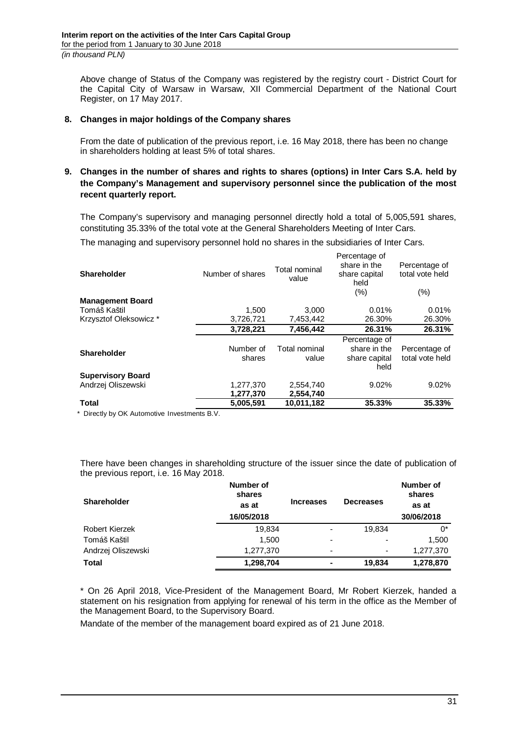Above change of Status of the Company was registered by the registry court - District Court for the Capital City of Warsaw in Warsaw, XII Commercial Department of the National Court Register, on 17 May 2017.

## <span id="page-30-0"></span>**8. Changes in major holdings of the Company shares**

From the date of publication of the previous report, i.e. 16 May 2018, there has been no change in shareholders holding at least 5% of total shares.

## <span id="page-30-1"></span>**9. Changes in the number of shares and rights to shares (options) in Inter Cars S.A. held by the Company's Management and supervisory personnel since the publication of the most recent quarterly report.**

The Company's supervisory and managing personnel directly hold a total of 5,005,591 shares, constituting 35.33% of the total vote at the General Shareholders Meeting of Inter Cars.

The managing and supervisory personnel hold no shares in the subsidiaries of Inter Cars.

| <b>Shareholder</b>       | Number of shares       | Total nominal<br>value | Percentage of<br>share in the<br>share capital<br>held<br>(%) | Percentage of<br>total vote held<br>$(\% )$ |
|--------------------------|------------------------|------------------------|---------------------------------------------------------------|---------------------------------------------|
| <b>Management Board</b>  |                        |                        |                                                               |                                             |
| Tomáš Kaštil             | 1.500                  | 3.000                  | 0.01%                                                         | 0.01%                                       |
| Krzysztof Oleksowicz*    | 3,726,721              | 7,453,442              | 26.30%                                                        | 26.30%                                      |
|                          | 3,728,221              | 7.456.442              | 26.31%                                                        | 26.31%                                      |
|                          |                        |                        | Percentage of                                                 |                                             |
| <b>Shareholder</b>       | Number of<br>shares    | Total nominal<br>value | share in the<br>share capital<br>held                         | Percentage of<br>total vote held            |
| <b>Supervisory Board</b> |                        |                        |                                                               |                                             |
| Andrzej Oliszewski       | 1,277,370<br>1,277,370 | 2,554,740<br>2,554,740 | 9.02%                                                         | 9.02%                                       |
| <b>Total</b>             | 5.005.591              | 10.011.182             | 35.33%                                                        | 35.33%                                      |

\* Directly by OK Automotive Investments B.V.

There have been changes in shareholding structure of the issuer since the date of publication of the previous report, i.e. 16 May 2018.

| Shareholder        | Number of<br>shares<br>as at<br>16/05/2018 | <b>Increases</b>         | <b>Decreases</b>         | Number of<br>shares<br>as at<br>30/06/2018 |
|--------------------|--------------------------------------------|--------------------------|--------------------------|--------------------------------------------|
| Robert Kierzek     | 19,834                                     | -                        | 19.834                   | 0*                                         |
| Tomáš Kaštil       | 1.500                                      | $\overline{\phantom{0}}$ | $\overline{\phantom{0}}$ | 1,500                                      |
| Andrzej Oliszewski | 1,277,370                                  | $\overline{\phantom{0}}$ | $\overline{\phantom{0}}$ | 1,277,370                                  |
| <b>Total</b>       | 1,298,704                                  | ۰                        | 19,834                   | 1,278,870                                  |

\* On 26 April 2018, Vice-President of the Management Board, Mr Robert Kierzek, handed a statement on his resignation from applying for renewal of his term in the office as the Member of the Management Board, to the Supervisory Board.

Mandate of the member of the management board expired as of 21 June 2018.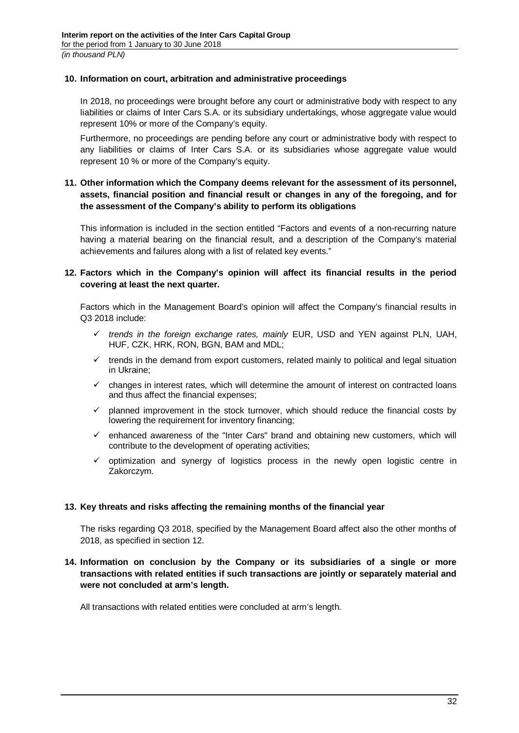## <span id="page-31-0"></span>**10. Information on court, arbitration and administrative proceedings**

In 2018, no proceedings were brought before any court or administrative body with respect to any liabilities or claims of Inter Cars S.A. or its subsidiary undertakings, whose aggregate value would represent 10% or more of the Company's equity.

Furthermore, no proceedings are pending before any court or administrative body with respect to any liabilities or claims of Inter Cars S.A. or its subsidiaries whose aggregate value would represent 10 % or more of the Company's equity.

# <span id="page-31-1"></span>**11. Other information which the Company deems relevant for the assessment of its personnel, assets, financial position and financial result or changes in any of the foregoing, and for the assessment of the Company's ability to perform its obligations**

This information is included in the section entitled "Factors and events of a non-recurring nature having a material bearing on the financial result, and a description of the Company's material achievements and failures along with a list of related key events."

## <span id="page-31-2"></span>**12. Factors which in the Company's opinion will affect its financial results in the period covering at least the next quarter.**

Factors which in the Management Board's opinion will affect the Company's financial results in Q3 2018 include:

- $\checkmark$  trends in the foreign exchange rates, mainly EUR, USD and YEN against PLN, UAH, HUF, CZK, HRK, RON, BGN, BAM and MDL;
- $\checkmark$  trends in the demand from export customers, related mainly to political and legal situation in Ukraine;
- $\checkmark$  changes in interest rates, which will determine the amount of interest on contracted loans and thus affect the financial expenses;
- $\checkmark$  planned improvement in the stock turnover, which should reduce the financial costs by lowering the requirement for inventory financing;
- $\checkmark$  enhanced awareness of the "Inter Cars" brand and obtaining new customers, which will contribute to the development of operating activities;
- $\checkmark$  optimization and synergy of logistics process in the newly open logistic centre in Zakorczym.

## <span id="page-31-3"></span>**13. Key threats and risks affecting the remaining months of the financial year**

The risks regarding Q3 2018, specified by the Management Board affect also the other months of 2018, as specified in section 12.

## <span id="page-31-4"></span>**14. Information on conclusion by the Company or its subsidiaries of a single or more transactions with related entities if such transactions are jointly or separately material and were not concluded at arm's length.**

All transactions with related entities were concluded at arm's length.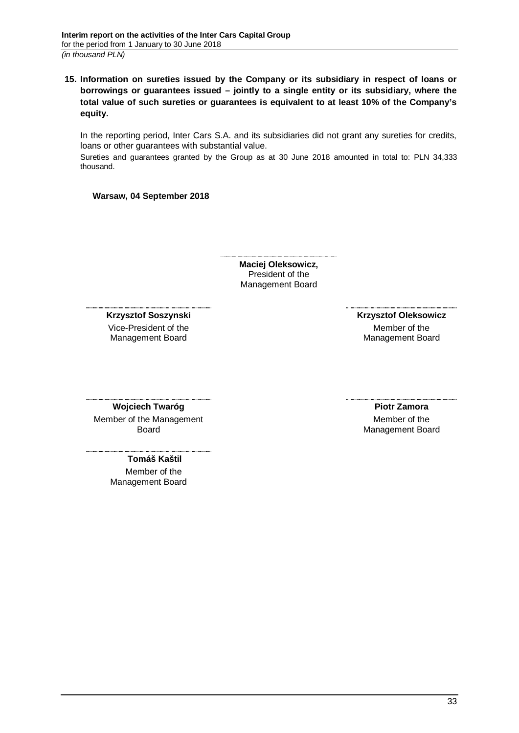<span id="page-32-0"></span>**15. Information on sureties issued by the Company or its subsidiary in respect of loans or borrowings or guarantees issued – jointly to a single entity or its subsidiary, where the total value of such sureties or guarantees is equivalent to at least 10% of the Company's equity.**

In the reporting period, Inter Cars S.A. and its subsidiaries did not grant any sureties for credits, loans or other guarantees with substantial value.

Sureties and guarantees granted by the Group as at 30 June 2018 amounted in total to: PLN 34,333 thousand.

**Warsaw, 04 September 2018**

**Maciej Oleksowicz,** President of the Management Board

**Krzysztof Soszynski**

Vice-President of the Management Board

 **Krzysztof Oleksowicz** Member of the Management Board

**Wojciech Twaróg**

Member of the Management Board

> **Tomáš Kaštil** Member of the Management Board

**Piotr Zamora** Member of the Management Board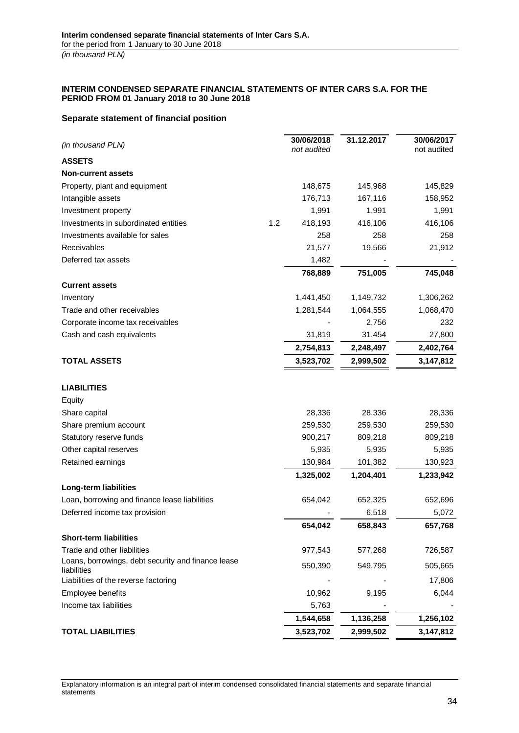#### <span id="page-33-0"></span>**INTERIM CONDENSED SEPARATE FINANCIAL STATEMENTS OF INTER CARS S.A. FOR THE PERIOD FROM 01 January 2018 to 30 June 2018**

### <span id="page-33-1"></span>**Separate statement of financial position**

| (in thousand PLN)                                                 |     | 30/06/2018<br>not audited | 31.12.2017 | 30/06/2017<br>not audited |
|-------------------------------------------------------------------|-----|---------------------------|------------|---------------------------|
| <b>ASSETS</b>                                                     |     |                           |            |                           |
| <b>Non-current assets</b>                                         |     |                           |            |                           |
| Property, plant and equipment                                     |     | 148,675                   | 145,968    | 145,829                   |
| Intangible assets                                                 |     | 176,713                   | 167,116    | 158,952                   |
| Investment property                                               |     | 1,991                     | 1,991      | 1,991                     |
| Investments in subordinated entities                              | 1.2 | 418,193                   | 416,106    | 416,106                   |
| Investments available for sales                                   |     | 258                       | 258        | 258                       |
| Receivables                                                       |     | 21,577                    | 19,566     | 21,912                    |
| Deferred tax assets                                               |     | 1,482                     |            |                           |
|                                                                   |     | 768,889                   | 751,005    | 745,048                   |
| <b>Current assets</b>                                             |     |                           |            |                           |
| Inventory                                                         |     | 1,441,450                 | 1,149,732  | 1,306,262                 |
| Trade and other receivables                                       |     | 1,281,544                 | 1,064,555  | 1,068,470                 |
| Corporate income tax receivables                                  |     |                           | 2,756      | 232                       |
| Cash and cash equivalents                                         |     | 31,819                    | 31,454     | 27,800                    |
|                                                                   |     | 2,754,813                 | 2,248,497  | 2,402,764                 |
| <b>TOTAL ASSETS</b>                                               |     | 3,523,702                 | 2,999,502  | 3,147,812                 |
| <b>LIABILITIES</b>                                                |     |                           |            |                           |
| Equity                                                            |     |                           |            |                           |
| Share capital                                                     |     | 28,336                    | 28,336     | 28,336                    |
| Share premium account                                             |     | 259,530                   | 259,530    | 259,530                   |
| Statutory reserve funds                                           |     | 900,217                   | 809,218    | 809,218                   |
| Other capital reserves                                            |     | 5,935                     | 5,935      | 5,935                     |
| Retained earnings                                                 |     | 130,984                   | 101,382    | 130,923                   |
|                                                                   |     | 1,325,002                 | 1,204,401  | 1,233,942                 |
| Long-term liabilities                                             |     |                           |            |                           |
| Loan, borrowing and finance lease liabilities                     |     | 654,042                   | 652,325    | 652,696                   |
| Deferred income tax provision                                     |     |                           | 6,518      | 5,072                     |
|                                                                   |     | 654,042                   | 658,843    | 657,768                   |
| <b>Short-term liabilities</b>                                     |     |                           |            |                           |
| Trade and other liabilities                                       |     | 977,543                   | 577,268    | 726,587                   |
| Loans, borrowings, debt security and finance lease<br>liabilities |     | 550,390                   | 549,795    | 505,665                   |
| Liabilities of the reverse factoring                              |     |                           |            | 17,806                    |
| Employee benefits                                                 |     | 10,962                    | 9,195      | 6,044                     |
| Income tax liabilities                                            |     | 5,763                     |            |                           |
|                                                                   |     | 1,544,658                 | 1,136,258  | 1,256,102                 |
| <b>TOTAL LIABILITIES</b>                                          |     | 3,523,702                 | 2,999,502  | 3,147,812                 |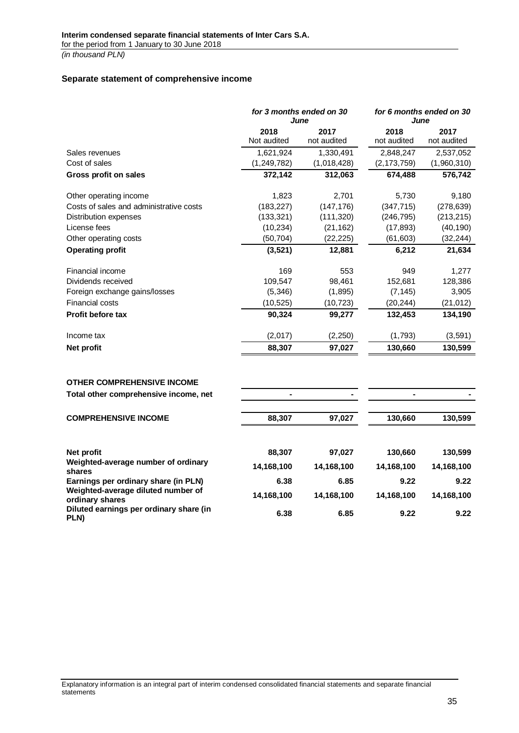### <span id="page-34-0"></span>**Separate statement of comprehensive income**

|                                         |                     | for 3 months ended on 30<br>June |                     | for 6 months ended on 30<br>June |  |  |
|-----------------------------------------|---------------------|----------------------------------|---------------------|----------------------------------|--|--|
|                                         | 2018<br>Not audited | 2017<br>not audited              | 2018<br>not audited | 2017<br>not audited              |  |  |
| Sales revenues                          | 1,621,924           | 1,330,491                        | 2,848,247           | 2,537,052                        |  |  |
| Cost of sales                           | (1,249,782)         | (1,018,428)                      | (2, 173, 759)       | (1,960,310)                      |  |  |
| Gross profit on sales                   | 372,142             | 312,063                          | 674,488             | 576,742                          |  |  |
| Other operating income                  | 1,823               | 2,701                            | 5,730               | 9,180                            |  |  |
| Costs of sales and administrative costs | (183, 227)          | (147, 176)                       | (347, 715)          | (278, 639)                       |  |  |
| Distribution expenses                   | (133, 321)          | (111, 320)                       | (246, 795)          | (213, 215)                       |  |  |
| License fees                            | (10, 234)           | (21, 162)                        | (17, 893)           | (40, 190)                        |  |  |
| Other operating costs                   | (50, 704)           | (22, 225)                        | (61, 603)           | (32, 244)                        |  |  |
| <b>Operating profit</b>                 | (3, 521)            | 12,881                           | 6,212               | 21,634                           |  |  |
| Financial income                        | 169                 | 553                              | 949                 | 1,277                            |  |  |
| Dividends received                      | 109,547             | 98,461                           | 152,681             | 128,386                          |  |  |
| Foreign exchange gains/losses           | (5,346)             | (1,895)                          | (7, 145)            | 3,905                            |  |  |
| <b>Financial costs</b>                  | (10, 525)           | (10, 723)                        | (20, 244)           | (21, 012)                        |  |  |
| <b>Profit before tax</b>                | 90,324              | 99,277                           | 132,453             | 134,190                          |  |  |
| Income tax                              | (2,017)             | (2,250)                          | (1,793)             | (3, 591)                         |  |  |
| Net profit                              | 88,307              | 97,027                           | 130,660             | 130,599                          |  |  |
|                                         |                     |                                  |                     |                                  |  |  |

## **OTHER COMPREHENSIVE INCOME**

**Total other comprehensive income, net - - - -**

| <u>, oldi oliitoi voimpitoitoitto mitoomol nol</u>    |            |            |            |            |
|-------------------------------------------------------|------------|------------|------------|------------|
| <b>COMPREHENSIVE INCOME</b>                           | 88,307     | 97,027     | 130,660    | 130,599    |
| Net profit                                            | 88,307     | 97,027     | 130,660    | 130,599    |
|                                                       |            |            |            |            |
| Weighted-average number of ordinary<br>shares         | 14,168,100 | 14,168,100 | 14,168,100 | 14,168,100 |
| Earnings per ordinary share (in PLN)                  | 6.38       | 6.85       | 9.22       | 9.22       |
| Weighted-average diluted number of<br>ordinary shares | 14,168,100 | 14,168,100 | 14,168,100 | 14,168,100 |
| Diluted earnings per ordinary share (in<br>PLN)       | 6.38       | 6.85       | 9.22       | 9.22       |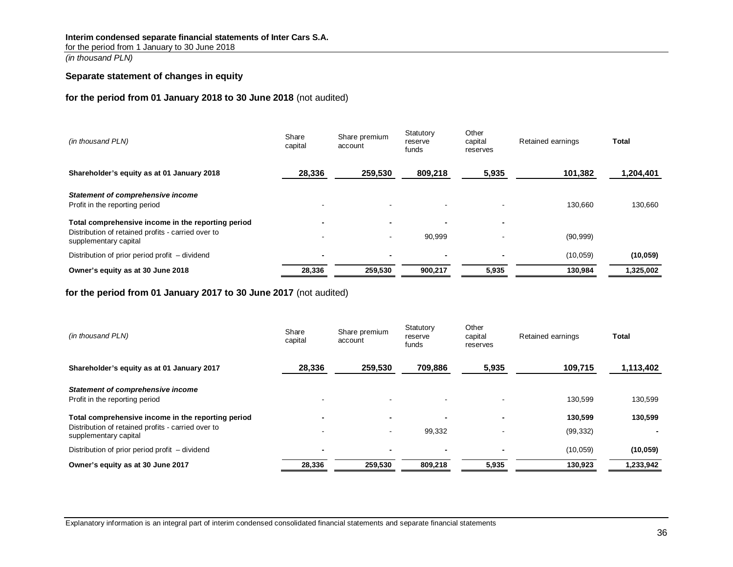### **Interim condensed separate financial statements of Inter Cars S.A.**

for the period from 1 January to 30 June 2018

*(in thousand PLN)*

#### <span id="page-35-0"></span>**Separate statement of changes in equity**

## **for the period from 01 January 2018 to 30 June 2018** (not audited)

| (in thousand PLN)                                                                                                                 | Share<br>capital | Share premium<br>account                   | Statutory<br>reserve<br>funds | Other<br>capital<br>reserves | Retained earnings | Total     |
|-----------------------------------------------------------------------------------------------------------------------------------|------------------|--------------------------------------------|-------------------------------|------------------------------|-------------------|-----------|
| Shareholder's equity as at 01 January 2018                                                                                        | 28,336           | 259,530                                    | 809.218                       | 5,935                        | 101,382           | 1,204,401 |
| Statement of comprehensive income<br>Profit in the reporting period                                                               |                  |                                            |                               |                              | 130,660           | 130.660   |
| Total comprehensive income in the reporting period<br>Distribution of retained profits - carried over to<br>supplementary capital |                  | $\blacksquare$<br>$\overline{\phantom{a}}$ | 90,999                        |                              | (90, 999)         |           |
| Distribution of prior period profit – dividend                                                                                    |                  | $\blacksquare$                             |                               |                              | (10, 059)         | (10, 059) |
| Owner's equity as at 30 June 2018                                                                                                 | 28,336           | 259,530                                    | 900,217                       | 5,935                        | 130,984           | 1,325,002 |

**for the period from 01 January 2017 to 30 June 2017** (not audited)

| (in thousand PLN)                                                                                                                 | Share<br>capital | Share premium<br>account                   | Statutory<br>reserve<br>funds | Other<br>capital<br>reserves | Retained earnings    | Total     |
|-----------------------------------------------------------------------------------------------------------------------------------|------------------|--------------------------------------------|-------------------------------|------------------------------|----------------------|-----------|
| Shareholder's equity as at 01 January 2017                                                                                        | 28,336           | 259.530                                    | 709.886                       | 5,935                        | 109,715              | 1,113,402 |
| Statement of comprehensive income<br>Profit in the reporting period                                                               |                  |                                            |                               |                              | 130.599              | 130,599   |
| Total comprehensive income in the reporting period<br>Distribution of retained profits - carried over to<br>supplementary capital |                  | $\blacksquare$<br>$\overline{\phantom{a}}$ | 99.332                        |                              | 130,599<br>(99, 332) | 130,599   |
| Distribution of prior period profit – dividend                                                                                    |                  | $\blacksquare$                             | -                             |                              | (10, 059)            | (10, 059) |
| Owner's equity as at 30 June 2017                                                                                                 | 28,336           | 259,530                                    | 809,218                       | 5,935                        | 130,923              | 1,233,942 |

Explanatory information is an integral part of interim condensed consolidated financial statements and separate financial statements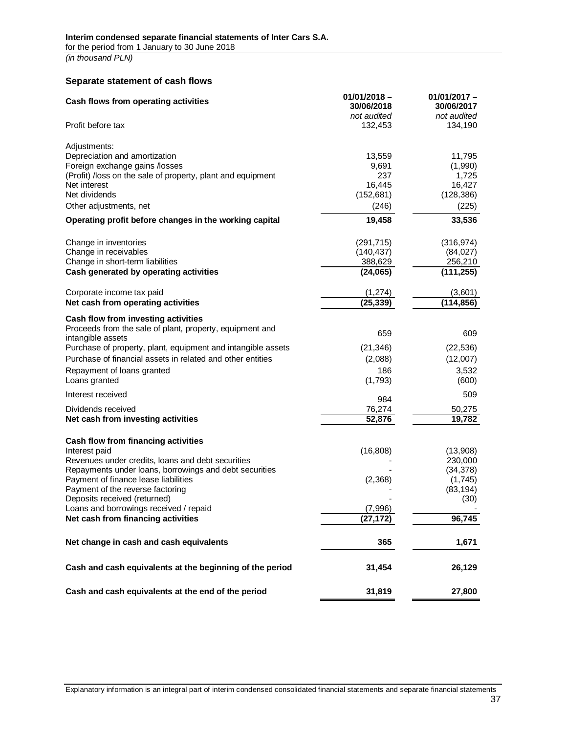#### <span id="page-36-0"></span>**Separate statement of cash flows**

| Cash flows from operating activities                                          | $01/01/2018 -$<br>30/06/2018<br>not audited | $01/01/2017 -$<br>30/06/2017<br>not audited |
|-------------------------------------------------------------------------------|---------------------------------------------|---------------------------------------------|
| Profit before tax                                                             | 132,453                                     | 134,190                                     |
| Adjustments:                                                                  |                                             |                                             |
| Depreciation and amortization                                                 | 13,559                                      | 11,795                                      |
| Foreign exchange gains /losses                                                | 9,691                                       | (1,990)                                     |
| (Profit) /loss on the sale of property, plant and equipment                   | 237                                         | 1,725                                       |
| Net interest                                                                  | 16,445                                      | 16,427                                      |
| Net dividends                                                                 | (152, 681)                                  | (128, 386)                                  |
| Other adjustments, net                                                        | (246)                                       | (225)                                       |
| Operating profit before changes in the working capital                        | 19,458                                      | 33,536                                      |
| Change in inventories                                                         | (291, 715)                                  | (316, 974)                                  |
| Change in receivables                                                         | (140, 437)                                  | (84, 027)                                   |
| Change in short-term liabilities                                              | 388,629                                     | 256,210                                     |
| Cash generated by operating activities                                        | (24,065)                                    | (111, 255)                                  |
| Corporate income tax paid                                                     | (1, 274)                                    | (3,601)                                     |
| Net cash from operating activities                                            | (25, 339)                                   | (114, 856)                                  |
| Cash flow from investing activities                                           |                                             |                                             |
| Proceeds from the sale of plant, property, equipment and<br>intangible assets | 659                                         | 609                                         |
| Purchase of property, plant, equipment and intangible assets                  | (21, 346)                                   | (22, 536)                                   |
| Purchase of financial assets in related and other entities                    | (2,088)                                     | (12,007)                                    |
|                                                                               |                                             |                                             |
| Repayment of loans granted                                                    | 186                                         | 3,532                                       |
| Loans granted                                                                 | (1,793)                                     | (600)                                       |
| Interest received                                                             | 984                                         | 509                                         |
| Dividends received                                                            | 76,274                                      | 50,275                                      |
| Net cash from investing activities                                            | 52,876                                      | 19,782                                      |
| Cash flow from financing activities                                           |                                             |                                             |
| Interest paid                                                                 | (16, 808)                                   | (13,908)                                    |
| Revenues under credits, loans and debt securities                             |                                             | 230,000                                     |
| Repayments under loans, borrowings and debt securities                        |                                             | (34, 378)                                   |
| Payment of finance lease liabilities                                          | (2,368)                                     | (1,745)                                     |
| Payment of the reverse factoring                                              |                                             | (83, 194)                                   |
| Deposits received (returned)                                                  |                                             | (30)                                        |
| Loans and borrowings received / repaid                                        | (7,996)                                     |                                             |
| Net cash from financing activities                                            | (27, 172)                                   | 96,745                                      |
| Net change in cash and cash equivalents                                       | 365                                         | 1,671                                       |
| Cash and cash equivalents at the beginning of the period                      | 31,454                                      | 26,129                                      |
| Cash and cash equivalents at the end of the period                            | 31,819                                      | 27,800                                      |
|                                                                               |                                             |                                             |

Explanatory information is an integral part of interim condensed consolidated financial statements and separate financial statements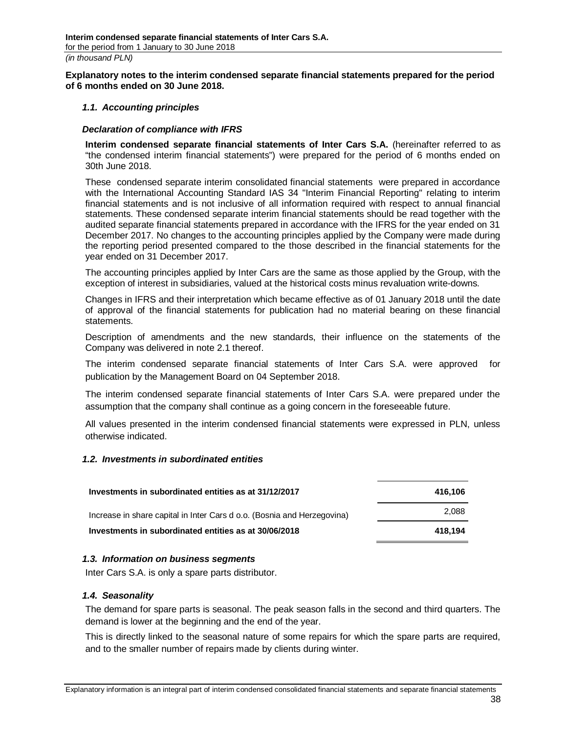<span id="page-37-0"></span>**Explanatory notes to the interim condensed separate financial statements prepared for the period of 6 months ended on 30 June 2018.**

#### <span id="page-37-1"></span>*1.1. Accounting principles*

#### <span id="page-37-2"></span>*Declaration of compliance with IFRS*

**Interim condensed separate financial statements of Inter Cars S.A.** (hereinafter referred to as "the condensed interim financial statements") were prepared for the period of 6 months ended on 30th June 2018.

These condensed separate interim consolidated financial statements were prepared in accordance with the International Accounting Standard IAS 34 "Interim Financial Reporting" relating to interim financial statements and is not inclusive of all information required with respect to annual financial statements. These condensed separate interim financial statements should be read together with the audited separate financial statements prepared in accordance with the IFRS for the year ended on 31 December 2017. No changes to the accounting principles applied by the Company were made during the reporting period presented compared to the those described in the financial statements for the year ended on 31 December 2017.

The accounting principles applied by Inter Cars are the same as those applied by the Group, with the exception of interest in subsidiaries, valued at the historical costs minus revaluation write-downs.

Changes in IFRS and their interpretation which became effective as of 01 January 2018 until the date of approval of the financial statements for publication had no material bearing on these financial statements.

Description of amendments and the new standards, their influence on the statements of the Company was delivered in note 2.1 thereof.

The interim condensed separate financial statements of Inter Cars S.A. were approved for publication by the Management Board on 04 September 2018.

The interim condensed separate financial statements of Inter Cars S.A. were prepared under the assumption that the company shall continue as a going concern in the foreseeable future.

All values presented in the interim condensed financial statements were expressed in PLN, unless otherwise indicated.

#### <span id="page-37-3"></span>*1.2. Investments in subordinated entities*

| Investments in subordinated entities as at 31/12/2017                   | 416.106 |
|-------------------------------------------------------------------------|---------|
| Increase in share capital in Inter Cars d o.o. (Bosnia and Herzegovina) | 2.088   |
| Investments in subordinated entities as at 30/06/2018                   | 418.194 |

#### <span id="page-37-4"></span>*1.3. Information on business segments*

Inter Cars S.A. is only a spare parts distributor.

#### <span id="page-37-5"></span>*1.4. Seasonality*

The demand for spare parts is seasonal. The peak season falls in the second and third quarters. The demand is lower at the beginning and the end of the year.

This is directly linked to the seasonal nature of some repairs for which the spare parts are required, and to the smaller number of repairs made by clients during winter.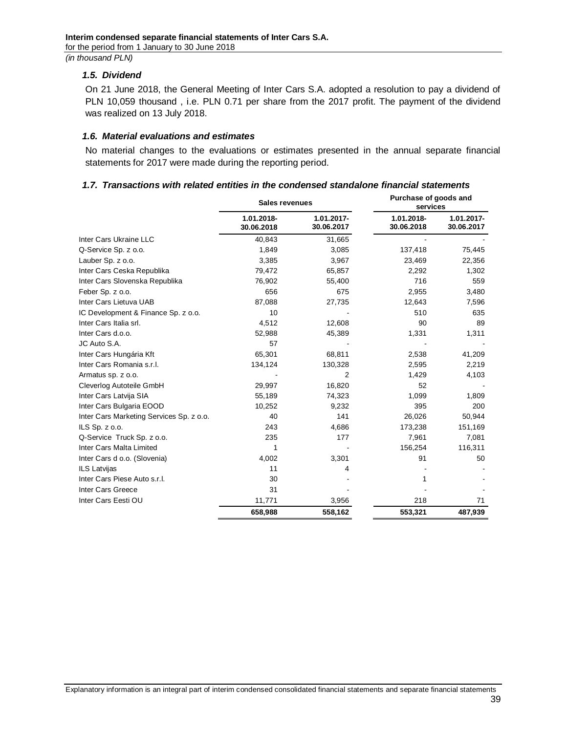### <span id="page-38-0"></span>*1.5. Dividend*

On 21 June 2018, the General Meeting of Inter Cars S.A. adopted a resolution to pay a dividend of PLN 10,059 thousand , i.e. PLN 0.71 per share from the 2017 profit. The payment of the dividend was realized on 13 July 2018.

#### <span id="page-38-1"></span>*1.6. Material evaluations and estimates*

No material changes to the evaluations or estimates presented in the annual separate financial statements for 2017 were made during the reporting period.

### <span id="page-38-2"></span>*1.7. Transactions with related entities in the condensed standalone financial statements*

|                                          | Sales revenues           |                          | Purchase of goods and<br>services |                          |
|------------------------------------------|--------------------------|--------------------------|-----------------------------------|--------------------------|
|                                          | 1.01.2018-<br>30.06.2018 | 1.01.2017-<br>30.06.2017 | 1.01.2018-<br>30.06.2018          | 1.01.2017-<br>30.06.2017 |
| Inter Cars Ukraine LLC                   | 40,843                   | 31,665                   |                                   |                          |
| Q-Service Sp. z o.o.                     | 1,849                    | 3,085                    | 137,418                           | 75,445                   |
| Lauber Sp. z o.o.                        | 3,385                    | 3,967                    | 23,469                            | 22,356                   |
| Inter Cars Ceska Republika               | 79,472                   | 65,857                   | 2,292                             | 1,302                    |
| Inter Cars Slovenska Republika           | 76,902                   | 55,400                   | 716                               | 559                      |
| Feber Sp. z o.o.                         | 656                      | 675                      | 2,955                             | 3,480                    |
| Inter Cars Lietuva UAB                   | 87,088                   | 27,735                   | 12,643                            | 7,596                    |
| IC Development & Finance Sp. z o.o.      | 10                       |                          | 510                               | 635                      |
| Inter Cars Italia srl.                   | 4,512                    | 12,608                   | 90                                | 89                       |
| Inter Cars d.o.o.                        | 52,988                   | 45,389                   | 1,331                             | 1,311                    |
| JC Auto S.A.                             | 57                       |                          |                                   |                          |
| Inter Cars Hungária Kft                  | 65,301                   | 68,811                   | 2,538                             | 41,209                   |
| Inter Cars Romania s.r.l.                | 134,124                  | 130,328                  | 2,595                             | 2,219                    |
| Armatus sp. z o.o.                       |                          | 2                        | 1,429                             | 4,103                    |
| Cleverlog Autoteile GmbH                 | 29,997                   | 16,820                   | 52                                |                          |
| Inter Cars Latvija SIA                   | 55,189                   | 74,323                   | 1,099                             | 1,809                    |
| Inter Cars Bulgaria EOOD                 | 10,252                   | 9,232                    | 395                               | 200                      |
| Inter Cars Marketing Services Sp. z o.o. | 40                       | 141                      | 26,026                            | 50,944                   |
| ILS $Sp. z 0.0$ .                        | 243                      | 4,686                    | 173,238                           | 151,169                  |
| Q-Service Truck Sp. z o.o.               | 235                      | 177                      | 7,961                             | 7,081                    |
| Inter Cars Malta Limited                 | 1                        |                          | 156,254                           | 116,311                  |
| Inter Cars d o.o. (Slovenia)             | 4,002                    | 3,301                    | 91                                | 50                       |
| <b>ILS Latvijas</b>                      | 11                       | 4                        |                                   |                          |
| Inter Cars Piese Auto s.r.l.             | 30                       |                          | 1                                 |                          |
| Inter Cars Greece                        | 31                       |                          |                                   |                          |
| Inter Cars Eesti OU                      | 11,771                   | 3,956                    | 218                               | 71                       |
|                                          | 658,988                  | 558,162                  | 553,321                           | 487,939                  |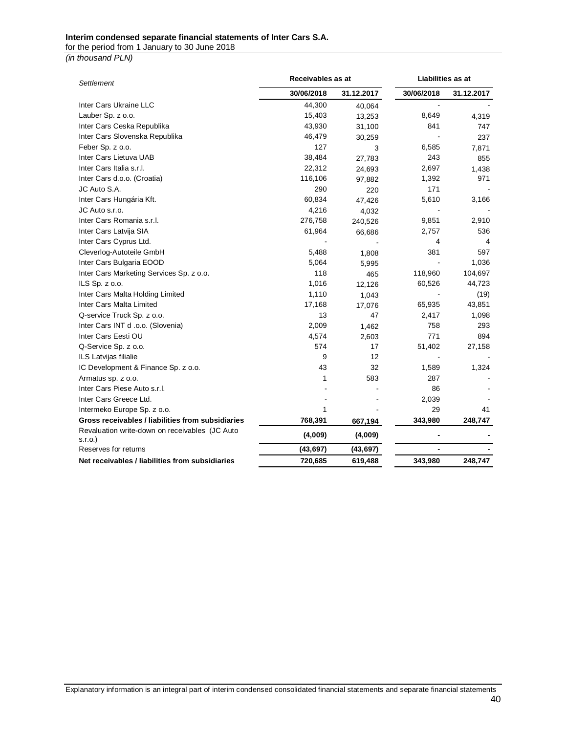#### **Interim condensed separate financial statements of Inter Cars S.A.**

for the period from 1 January to 30 June 2018

*(in thousand PLN)*

| Settlement                                                   | Receivables as at |            | Liabilities as at |            |  |
|--------------------------------------------------------------|-------------------|------------|-------------------|------------|--|
|                                                              | 30/06/2018        | 31.12.2017 | 30/06/2018        | 31.12.2017 |  |
| Inter Cars Ukraine LLC                                       | 44,300            | 40,064     |                   |            |  |
| Lauber Sp. z o.o.                                            | 15,403            | 13,253     | 8,649             | 4,319      |  |
| Inter Cars Ceska Republika                                   | 43,930            | 31,100     | 841               | 747        |  |
| Inter Cars Slovenska Republika                               | 46,479            | 30,259     |                   | 237        |  |
| Feber Sp. z o.o.                                             | 127               | 3          | 6,585             | 7,871      |  |
| Inter Cars Lietuva UAB                                       | 38,484            | 27,783     | 243               | 855        |  |
| Inter Cars Italia s.r.l.                                     | 22,312            | 24,693     | 2,697             | 1,438      |  |
| Inter Cars d.o.o. (Croatia)                                  | 116,106           | 97,882     | 1,392             | 971        |  |
| JC Auto S.A.                                                 | 290               | 220        | 171               |            |  |
| Inter Cars Hungária Kft.                                     | 60,834            | 47,426     | 5,610             | 3,166      |  |
| JC Auto s.r.o.                                               | 4,216             | 4,032      |                   |            |  |
| Inter Cars Romania s.r.l.                                    | 276,758           | 240,526    | 9,851             | 2,910      |  |
| Inter Cars Latvija SIA                                       | 61,964            | 66,686     | 2,757             | 536        |  |
| Inter Cars Cyprus Ltd.                                       |                   |            | 4                 | 4          |  |
| Cleverlog-Autoteile GmbH                                     | 5,488             | 1,808      | 381               | 597        |  |
| Inter Cars Bulgaria EOOD                                     | 5,064             | 5,995      |                   | 1,036      |  |
| Inter Cars Marketing Services Sp. z o.o.                     | 118               | 465        | 118,960           | 104,697    |  |
| ILS Sp. z o.o.                                               | 1,016             | 12,126     | 60,526            | 44,723     |  |
| Inter Cars Malta Holding Limited                             | 1,110             | 1,043      |                   | (19)       |  |
| Inter Cars Malta Limited                                     | 17,168            | 17,076     | 65,935            | 43,851     |  |
| Q-service Truck Sp. z o.o.                                   | 13                | 47         | 2,417             | 1,098      |  |
| Inter Cars INT d .o.o. (Slovenia)                            | 2,009             | 1,462      | 758               | 293        |  |
| Inter Cars Eesti OU                                          | 4,574             | 2,603      | 771               | 894        |  |
| Q-Service Sp. z o.o.                                         | 574               | 17         | 51,402            | 27,158     |  |
| ILS Latvijas filialie                                        | 9                 | 12         |                   |            |  |
| IC Development & Finance Sp. z o.o.                          | 43                | 32         | 1,589             | 1,324      |  |
| Armatus sp. z o.o.                                           | 1                 | 583        | 287               |            |  |
| Inter Cars Piese Auto s.r.l.                                 |                   |            | 86                |            |  |
| Inter Cars Greece Ltd.                                       |                   |            | 2,039             |            |  |
| Intermeko Europe Sp. z o.o.                                  | 1                 |            | 29                | 41         |  |
| Gross receivables / liabilities from subsidiaries            | 768,391           | 667,194    | 343,980           | 248,747    |  |
| Revaluation write-down on receivables (JC Auto<br>$s.r.o.$ ) | (4,009)           | (4,009)    |                   |            |  |
| Reserves for returns                                         | (43, 697)         | (43, 697)  |                   |            |  |
| Net receivables / liabilities from subsidiaries              | 720,685           | 619,488    | 343,980           | 248,747    |  |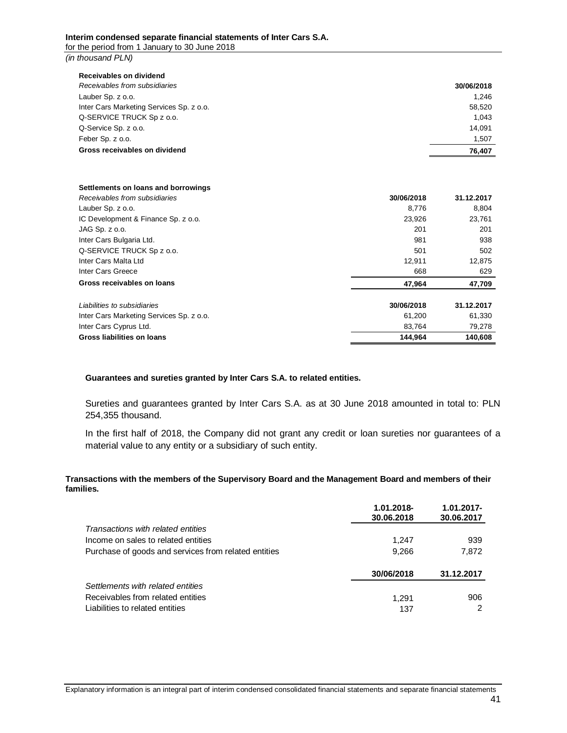| Receivables on dividend                  |            |
|------------------------------------------|------------|
| Receivables from subsidiaries            | 30/06/2018 |
| Lauber Sp. z o.o.                        | 1.246      |
| Inter Cars Marketing Services Sp. z o.o. | 58,520     |
| Q-SERVICE TRUCK Sp z o.o.                | 1.043      |
| Q-Service Sp. z o.o.                     | 14.091     |
| Feber Sp. z o.o.                         | 1,507      |
| Gross receivables on dividend            | 76.407     |

#### **Settlements on loans and borrowings**

| Receivables from subsidiaries            | 30/06/2018 | 31.12.2017 |
|------------------------------------------|------------|------------|
| Lauber Sp. z o.o.                        | 8.776      | 8,804      |
| IC Development & Finance Sp. z o.o.      | 23,926     | 23,761     |
| JAG Sp. z o.o.                           | 201        | 201        |
| Inter Cars Bulgaria Ltd.                 | 981        | 938        |
| Q-SERVICE TRUCK Sp z o.o.                | 501        | 502        |
| Inter Cars Malta Ltd                     | 12.911     | 12,875     |
| Inter Cars Greece                        | 668        | 629        |
| Gross receivables on loans               | 47,964     | 47,709     |
| Liabilities to subsidiaries              | 30/06/2018 | 31.12.2017 |
| Inter Cars Marketing Services Sp. z o.o. | 61,200     | 61,330     |
| Inter Cars Cyprus Ltd.                   | 83,764     | 79,278     |
| Gross liabilities on loans               | 144.964    | 140,608    |

#### **Guarantees and sureties granted by Inter Cars S.A. to related entities.**

Sureties and guarantees granted by Inter Cars S.A. as at 30 June 2018 amounted in total to: PLN 254,355 thousand.

In the first half of 2018, the Company did not grant any credit or loan sureties nor guarantees of a material value to any entity or a subsidiary of such entity.

#### **Transactions with the members of the Supervisory Board and the Management Board and members of their families.**

|                                                      | 1.01.2018-<br>30.06.2018 | $1.01.2017 -$<br>30.06.2017 |
|------------------------------------------------------|--------------------------|-----------------------------|
| Transactions with related entities                   |                          |                             |
| Income on sales to related entities                  | 1,247                    | 939                         |
| Purchase of goods and services from related entities | 9,266                    | 7,872                       |
|                                                      | 30/06/2018               | 31.12.2017                  |
| Settlements with related entities                    |                          |                             |
| Receivables from related entities                    | 1.291                    | 906                         |
| Liabilities to related entities                      | 137                      |                             |